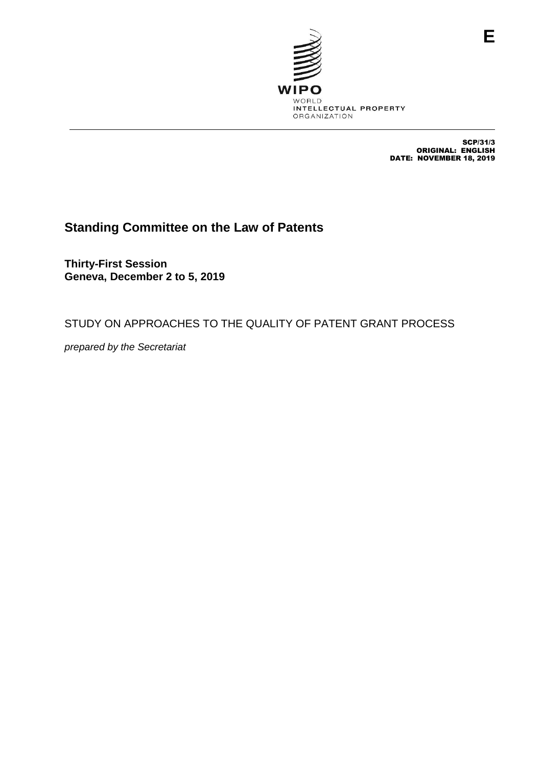

SCP/31/3 ORIGINAL: ENGLISH DATE: NOVEMBER 18, 2019

# **Standing Committee on the Law of Patents**

**Thirty-First Session Geneva, December 2 to 5, 2019**

STUDY ON APPROACHES TO THE QUALITY OF PATENT GRANT PROCESS

*prepared by the Secretariat*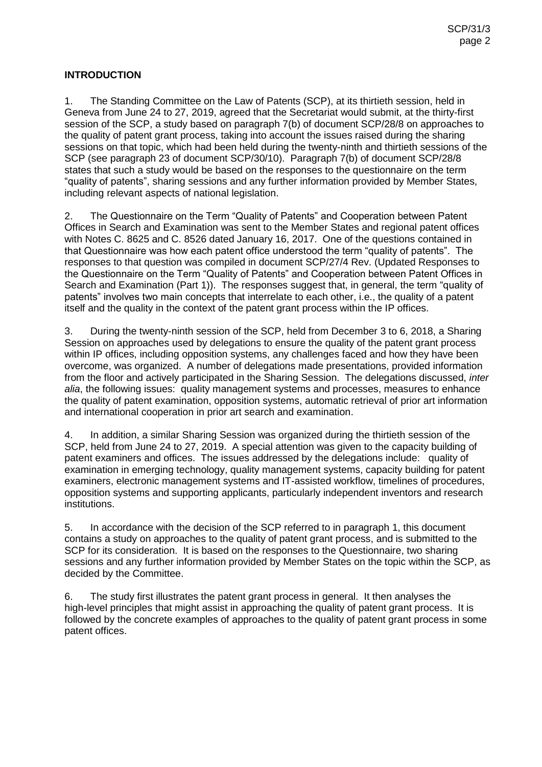# **INTRODUCTION**

1. The Standing Committee on the Law of Patents (SCP), at its thirtieth session, held in Geneva from June 24 to 27, 2019, agreed that the Secretariat would submit, at the thirty-first session of the SCP, a study based on paragraph 7(b) of document SCP/28/8 on approaches to the quality of patent grant process, taking into account the issues raised during the sharing sessions on that topic, which had been held during the twenty-ninth and thirtieth sessions of the SCP (see paragraph 23 of document SCP/30/10). Paragraph 7(b) of document SCP/28/8 states that such a study would be based on the responses to the questionnaire on the term "quality of patents", sharing sessions and any further information provided by Member States, including relevant aspects of national legislation.

2. The Questionnaire on the Term "Quality of Patents" and Cooperation between Patent Offices in Search and Examination was sent to the Member States and regional patent offices with Notes C. 8625 and C. 8526 dated January 16, 2017. One of the questions contained in that Questionnaire was how each patent office understood the term "quality of patents". The responses to that question was compiled in document SCP/27/4 Rev. (Updated Responses to the Questionnaire on the Term "Quality of Patents" and Cooperation between Patent Offices in Search and Examination (Part 1)). The responses suggest that, in general, the term "quality of patents" involves two main concepts that interrelate to each other, i.e., the quality of a patent itself and the quality in the context of the patent grant process within the IP offices.

3. During the twenty-ninth session of the SCP, held from December 3 to 6, 2018, a Sharing Session on approaches used by delegations to ensure the quality of the patent grant process within IP offices, including opposition systems, any challenges faced and how they have been overcome, was organized. A number of delegations made presentations, provided information from the floor and actively participated in the Sharing Session. The delegations discussed, *inter alia*, the following issues: quality management systems and processes, measures to enhance the quality of patent examination, opposition systems, automatic retrieval of prior art information and international cooperation in prior art search and examination.

4. In addition, a similar Sharing Session was organized during the thirtieth session of the SCP, held from June 24 to 27, 2019. A special attention was given to the capacity building of patent examiners and offices. The issues addressed by the delegations include: quality of examination in emerging technology, quality management systems, capacity building for patent examiners, electronic management systems and IT-assisted workflow, timelines of procedures, opposition systems and supporting applicants, particularly independent inventors and research institutions.

5. In accordance with the decision of the SCP referred to in paragraph 1, this document contains a study on approaches to the quality of patent grant process, and is submitted to the SCP for its consideration. It is based on the responses to the Questionnaire, two sharing sessions and any further information provided by Member States on the topic within the SCP, as decided by the Committee.

6. The study first illustrates the patent grant process in general. It then analyses the high-level principles that might assist in approaching the quality of patent grant process. It is followed by the concrete examples of approaches to the quality of patent grant process in some patent offices.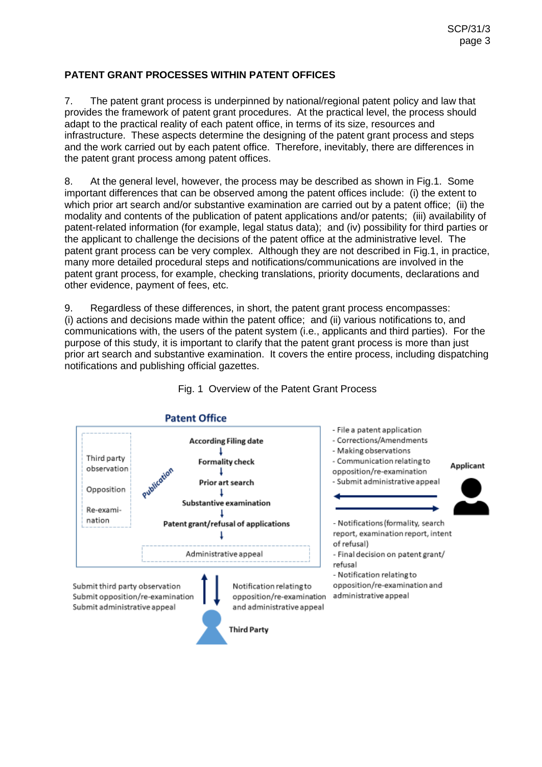# **PATENT GRANT PROCESSES WITHIN PATENT OFFICES**

7. The patent grant process is underpinned by national/regional patent policy and law that provides the framework of patent grant procedures. At the practical level, the process should adapt to the practical reality of each patent office, in terms of its size, resources and infrastructure. These aspects determine the designing of the patent grant process and steps and the work carried out by each patent office. Therefore, inevitably, there are differences in the patent grant process among patent offices.

8. At the general level, however, the process may be described as shown in Fig.1. Some important differences that can be observed among the patent offices include: (i) the extent to which prior art search and/or substantive examination are carried out by a patent office; (ii) the modality and contents of the publication of patent applications and/or patents; (iii) availability of patent-related information (for example, legal status data); and (iv) possibility for third parties or the applicant to challenge the decisions of the patent office at the administrative level. The patent grant process can be very complex. Although they are not described in Fig.1, in practice, many more detailed procedural steps and notifications/communications are involved in the patent grant process, for example, checking translations, priority documents, declarations and other evidence, payment of fees, etc.

9. Regardless of these differences, in short, the patent grant process encompasses: (i) actions and decisions made within the patent office; and (ii) various notifications to, and communications with, the users of the patent system (i.e., applicants and third parties). For the purpose of this study, it is important to clarify that the patent grant process is more than just prior art search and substantive examination. It covers the entire process, including dispatching notifications and publishing official gazettes.



#### Fig. 1 Overview of the Patent Grant Process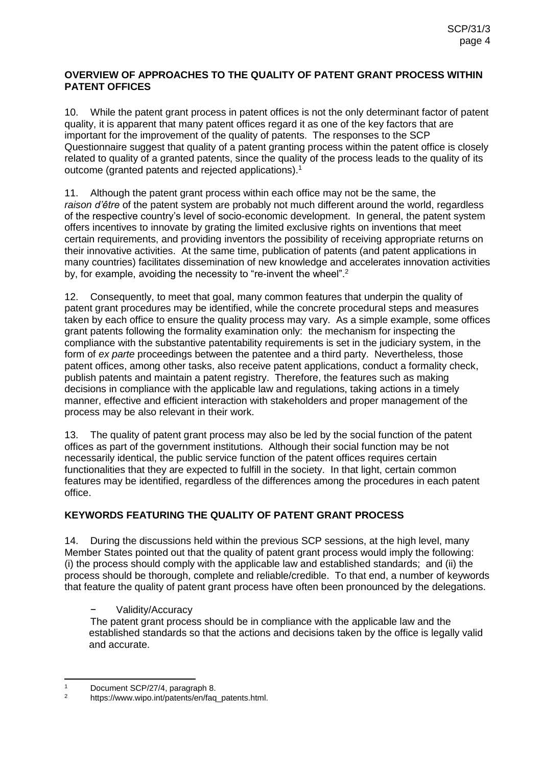#### **OVERVIEW OF APPROACHES TO THE QUALITY OF PATENT GRANT PROCESS WITHIN PATENT OFFICES**

10. While the patent grant process in patent offices is not the only determinant factor of patent quality, it is apparent that many patent offices regard it as one of the key factors that are important for the improvement of the quality of patents. The responses to the SCP Questionnaire suggest that quality of a patent granting process within the patent office is closely related to quality of a granted patents, since the quality of the process leads to the quality of its outcome (granted patents and rejected applications).<sup>1</sup>

11. Although the patent grant process within each office may not be the same, the *raison d'être* of the patent system are probably not much different around the world, regardless of the respective country's level of socio-economic development. In general, the patent system offers incentives to innovate by grating the limited exclusive rights on inventions that meet certain requirements, and providing inventors the possibility of receiving appropriate returns on their innovative activities. At the same time, publication of patents (and patent applications in many countries) facilitates dissemination of new knowledge and accelerates innovation activities by, for example, avoiding the necessity to "re-invent the wheel".<sup>2</sup>

12. Consequently, to meet that goal, many common features that underpin the quality of patent grant procedures may be identified, while the concrete procedural steps and measures taken by each office to ensure the quality process may vary. As a simple example, some offices grant patents following the formality examination only: the mechanism for inspecting the compliance with the substantive patentability requirements is set in the judiciary system, in the form of *ex parte* proceedings between the patentee and a third party. Nevertheless, those patent offices, among other tasks, also receive patent applications, conduct a formality check, publish patents and maintain a patent registry. Therefore, the features such as making decisions in compliance with the applicable law and regulations, taking actions in a timely manner, effective and efficient interaction with stakeholders and proper management of the process may be also relevant in their work.

13. The quality of patent grant process may also be led by the social function of the patent offices as part of the government institutions. Although their social function may be not necessarily identical, the public service function of the patent offices requires certain functionalities that they are expected to fulfill in the society. In that light, certain common features may be identified, regardless of the differences among the procedures in each patent office.

# **KEYWORDS FEATURING THE QUALITY OF PATENT GRANT PROCESS**

14. During the discussions held within the previous SCP sessions, at the high level, many Member States pointed out that the quality of patent grant process would imply the following: (i) the process should comply with the applicable law and established standards; and (ii) the process should be thorough, complete and reliable/credible. To that end, a number of keywords that feature the quality of patent grant process have often been pronounced by the delegations.

# − Validity/Accuracy

The patent grant process should be in compliance with the applicable law and the established standards so that the actions and decisions taken by the office is legally valid and accurate.

 $\overline{a}$ 1 Document SCP/27/4, paragraph 8.

https://www.wipo.int/patents/en/faq\_patents.html.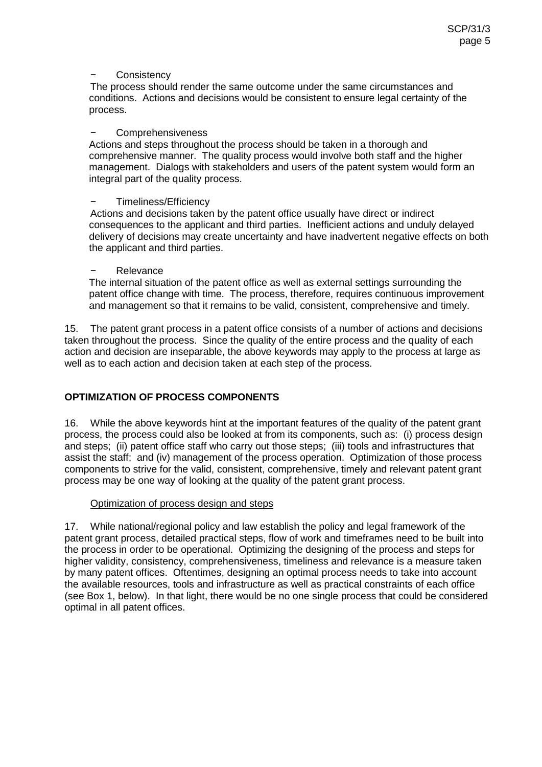#### − Consistency

The process should render the same outcome under the same circumstances and conditions. Actions and decisions would be consistent to ensure legal certainty of the process.

#### − Comprehensiveness

Actions and steps throughout the process should be taken in a thorough and comprehensive manner. The quality process would involve both staff and the higher management. Dialogs with stakeholders and users of the patent system would form an integral part of the quality process.

#### − Timeliness/Efficiency

Actions and decisions taken by the patent office usually have direct or indirect consequences to the applicant and third parties. Inefficient actions and unduly delayed delivery of decisions may create uncertainty and have inadvertent negative effects on both the applicant and third parties.

#### − Relevance

The internal situation of the patent office as well as external settings surrounding the patent office change with time. The process, therefore, requires continuous improvement and management so that it remains to be valid, consistent, comprehensive and timely.

15. The patent grant process in a patent office consists of a number of actions and decisions taken throughout the process. Since the quality of the entire process and the quality of each action and decision are inseparable, the above keywords may apply to the process at large as well as to each action and decision taken at each step of the process.

# **OPTIMIZATION OF PROCESS COMPONENTS**

16. While the above keywords hint at the important features of the quality of the patent grant process, the process could also be looked at from its components, such as: (i) process design and steps; (ii) patent office staff who carry out those steps; (iii) tools and infrastructures that assist the staff; and (iv) management of the process operation. Optimization of those process components to strive for the valid, consistent, comprehensive, timely and relevant patent grant process may be one way of looking at the quality of the patent grant process.

#### Optimization of process design and steps

17. While national/regional policy and law establish the policy and legal framework of the patent grant process, detailed practical steps, flow of work and timeframes need to be built into the process in order to be operational. Optimizing the designing of the process and steps for higher validity, consistency, comprehensiveness, timeliness and relevance is a measure taken by many patent offices. Oftentimes, designing an optimal process needs to take into account the available resources, tools and infrastructure as well as practical constraints of each office (see Box 1, below). In that light, there would be no one single process that could be considered optimal in all patent offices.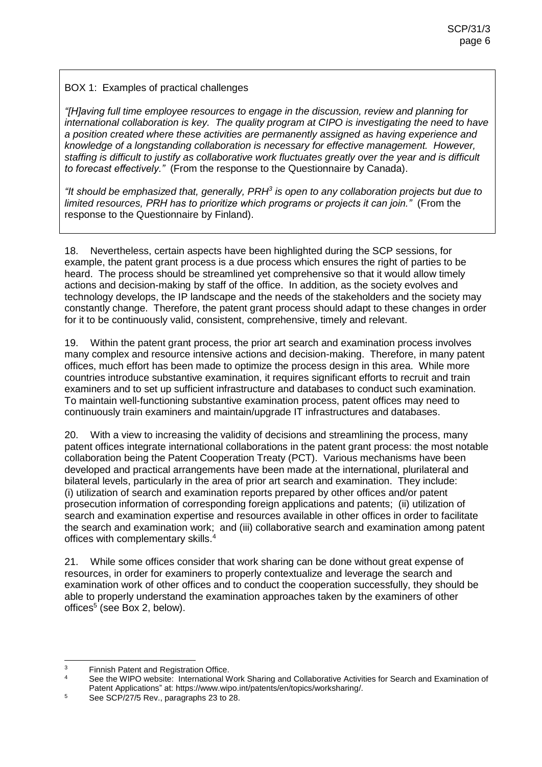## BOX 1: Examples of practical challenges

*"[H]aving full time employee resources to engage in the discussion, review and planning for international collaboration is key. The quality program at CIPO is investigating the need to have a position created where these activities are permanently assigned as having experience and knowledge of a longstanding collaboration is necessary for effective management. However, staffing is difficult to justify as collaborative work fluctuates greatly over the year and is difficult to forecast effectively."* (From the response to the Questionnaire by Canada).

*"It should be emphasized that, generally, PRH<sup>3</sup> is open to any collaboration projects but due to limited resources, PRH has to prioritize which programs or projects it can join."* (From the response to the Questionnaire by Finland).

18. Nevertheless, certain aspects have been highlighted during the SCP sessions, for example, the patent grant process is a due process which ensures the right of parties to be heard. The process should be streamlined yet comprehensive so that it would allow timely actions and decision-making by staff of the office. In addition, as the society evolves and technology develops, the IP landscape and the needs of the stakeholders and the society may constantly change. Therefore, the patent grant process should adapt to these changes in order for it to be continuously valid, consistent, comprehensive, timely and relevant.

19. Within the patent grant process, the prior art search and examination process involves many complex and resource intensive actions and decision-making. Therefore, in many patent offices, much effort has been made to optimize the process design in this area. While more countries introduce substantive examination, it requires significant efforts to recruit and train examiners and to set up sufficient infrastructure and databases to conduct such examination. To maintain well-functioning substantive examination process, patent offices may need to continuously train examiners and maintain/upgrade IT infrastructures and databases.

20. With a view to increasing the validity of decisions and streamlining the process, many patent offices integrate international collaborations in the patent grant process: the most notable collaboration being the Patent Cooperation Treaty (PCT). Various mechanisms have been developed and practical arrangements have been made at the international, plurilateral and bilateral levels, particularly in the area of prior art search and examination. They include: (i) utilization of search and examination reports prepared by other offices and/or patent prosecution information of corresponding foreign applications and patents; (ii) utilization of search and examination expertise and resources available in other offices in order to facilitate the search and examination work; and (iii) collaborative search and examination among patent offices with complementary skills.<sup>4</sup>

21. While some offices consider that work sharing can be done without great expense of resources, in order for examiners to properly contextualize and leverage the search and examination work of other offices and to conduct the cooperation successfully, they should be able to properly understand the examination approaches taken by the examiners of other offices<sup>5</sup> (see Box 2, below).

 <sup>3</sup> Finnish Patent and Registration Office.

See the WIPO website: International Work Sharing and Collaborative Activities for Search and Examination of Patent Applications" at: https://www.wipo.int/patents/en/topics/worksharing/.

<sup>&</sup>lt;sup>5</sup> See SCP/27/5 Rev., paragraphs 23 to 28.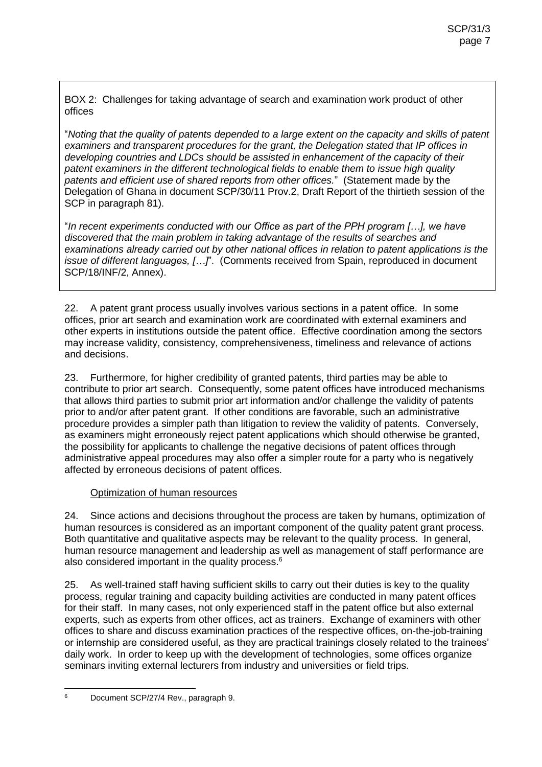BOX 2: Challenges for taking advantage of search and examination work product of other offices

"*Noting that the quality of patents depended to a large extent on the capacity and skills of patent examiners and transparent procedures for the grant, the Delegation stated that IP offices in developing countries and LDCs should be assisted in enhancement of the capacity of their patent examiners in the different technological fields to enable them to issue high quality patents and efficient use of shared reports from other offices.*" (Statement made by the Delegation of Ghana in document SCP/30/11 Prov.2, Draft Report of the thirtieth session of the SCP in paragraph 81).

"*In recent experiments conducted with our Office as part of the PPH program […], we have discovered that the main problem in taking advantage of the results of searches and examinations already carried out by other national offices in relation to patent applications is the issue of different languages, […]*". (Comments received from Spain, reproduced in document SCP/18/INF/2, Annex).

22. A patent grant process usually involves various sections in a patent office. In some offices, prior art search and examination work are coordinated with external examiners and other experts in institutions outside the patent office. Effective coordination among the sectors may increase validity, consistency, comprehensiveness, timeliness and relevance of actions and decisions.

23. Furthermore, for higher credibility of granted patents, third parties may be able to contribute to prior art search. Consequently, some patent offices have introduced mechanisms that allows third parties to submit prior art information and/or challenge the validity of patents prior to and/or after patent grant. If other conditions are favorable, such an administrative procedure provides a simpler path than litigation to review the validity of patents. Conversely, as examiners might erroneously reject patent applications which should otherwise be granted, the possibility for applicants to challenge the negative decisions of patent offices through administrative appeal procedures may also offer a simpler route for a party who is negatively affected by erroneous decisions of patent offices.

# Optimization of human resources

24. Since actions and decisions throughout the process are taken by humans, optimization of human resources is considered as an important component of the quality patent grant process. Both quantitative and qualitative aspects may be relevant to the quality process. In general, human resource management and leadership as well as management of staff performance are also considered important in the quality process. $6$ 

25. As well-trained staff having sufficient skills to carry out their duties is key to the quality process, regular training and capacity building activities are conducted in many patent offices for their staff. In many cases, not only experienced staff in the patent office but also external experts, such as experts from other offices, act as trainers. Exchange of examiners with other offices to share and discuss examination practices of the respective offices, on-the-job-training or internship are considered useful, as they are practical trainings closely related to the trainees' daily work. In order to keep up with the development of technologies, some offices organize seminars inviting external lecturers from industry and universities or field trips.

 $\boldsymbol{\kappa}$ <sup>6</sup> Document SCP/27/4 Rev., paragraph 9.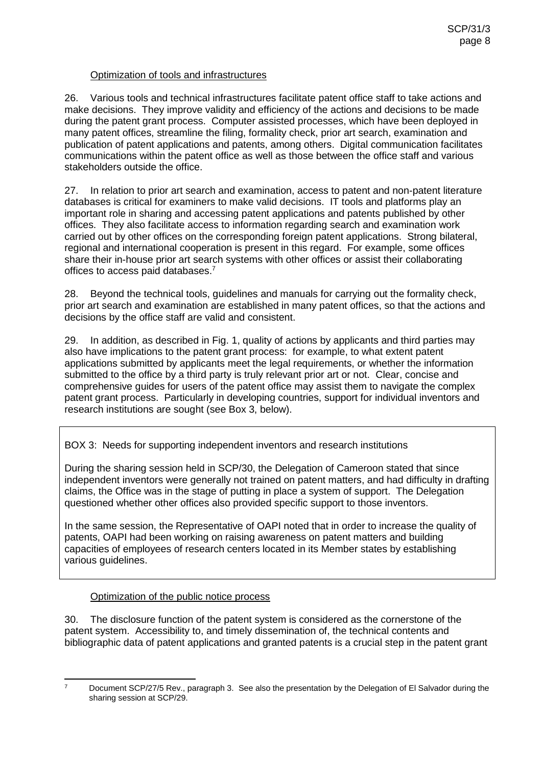# Optimization of tools and infrastructures

26. Various tools and technical infrastructures facilitate patent office staff to take actions and make decisions. They improve validity and efficiency of the actions and decisions to be made during the patent grant process. Computer assisted processes, which have been deployed in many patent offices, streamline the filing, formality check, prior art search, examination and publication of patent applications and patents, among others. Digital communication facilitates communications within the patent office as well as those between the office staff and various stakeholders outside the office.

27. In relation to prior art search and examination, access to patent and non-patent literature databases is critical for examiners to make valid decisions. IT tools and platforms play an important role in sharing and accessing patent applications and patents published by other offices. They also facilitate access to information regarding search and examination work carried out by other offices on the corresponding foreign patent applications. Strong bilateral, regional and international cooperation is present in this regard. For example, some offices share their in-house prior art search systems with other offices or assist their collaborating offices to access paid databases. 7

28. Beyond the technical tools, guidelines and manuals for carrying out the formality check, prior art search and examination are established in many patent offices, so that the actions and decisions by the office staff are valid and consistent.

29. In addition, as described in Fig. 1, quality of actions by applicants and third parties may also have implications to the patent grant process: for example, to what extent patent applications submitted by applicants meet the legal requirements, or whether the information submitted to the office by a third party is truly relevant prior art or not. Clear, concise and comprehensive guides for users of the patent office may assist them to navigate the complex patent grant process. Particularly in developing countries, support for individual inventors and research institutions are sought (see Box 3, below).

BOX 3: Needs for supporting independent inventors and research institutions

During the sharing session held in SCP/30, the Delegation of Cameroon stated that since independent inventors were generally not trained on patent matters, and had difficulty in drafting claims, the Office was in the stage of putting in place a system of support. The Delegation questioned whether other offices also provided specific support to those inventors.

In the same session, the Representative of OAPI noted that in order to increase the quality of patents, OAPI had been working on raising awareness on patent matters and building capacities of employees of research centers located in its Member states by establishing various guidelines.

# Optimization of the public notice process

30. The disclosure function of the patent system is considered as the cornerstone of the patent system. Accessibility to, and timely dissemination of, the technical contents and bibliographic data of patent applications and granted patents is a crucial step in the patent grant

 $\overline{7}$ 

Document SCP/27/5 Rev., paragraph 3. See also the presentation by the Delegation of El Salvador during the sharing session at SCP/29.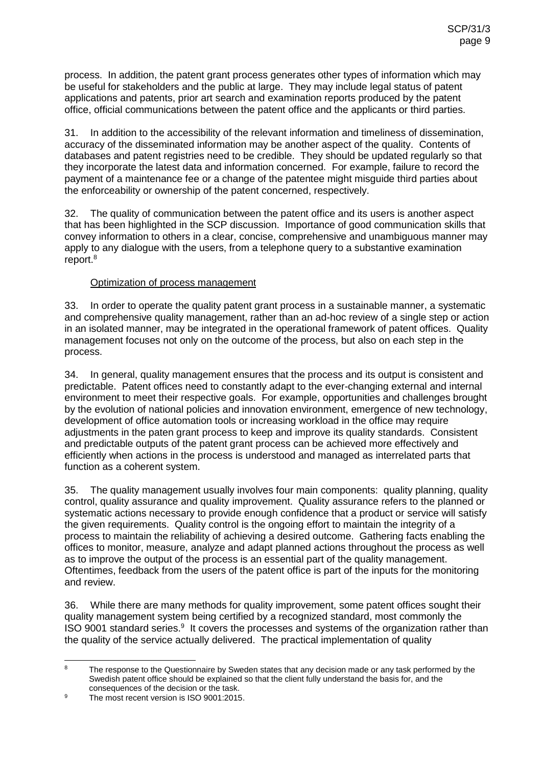process. In addition, the patent grant process generates other types of information which may be useful for stakeholders and the public at large. They may include legal status of patent applications and patents, prior art search and examination reports produced by the patent office, official communications between the patent office and the applicants or third parties.

31. In addition to the accessibility of the relevant information and timeliness of dissemination, accuracy of the disseminated information may be another aspect of the quality. Contents of databases and patent registries need to be credible. They should be updated regularly so that they incorporate the latest data and information concerned. For example, failure to record the payment of a maintenance fee or a change of the patentee might misguide third parties about the enforceability or ownership of the patent concerned, respectively.

32. The quality of communication between the patent office and its users is another aspect that has been highlighted in the SCP discussion. Importance of good communication skills that convey information to others in a clear, concise, comprehensive and unambiguous manner may apply to any dialogue with the users, from a telephone query to a substantive examination report.<sup>8</sup>

#### Optimization of process management

33. In order to operate the quality patent grant process in a sustainable manner, a systematic and comprehensive quality management, rather than an ad-hoc review of a single step or action in an isolated manner, may be integrated in the operational framework of patent offices. Quality management focuses not only on the outcome of the process, but also on each step in the process.

34. In general, quality management ensures that the process and its output is consistent and predictable. Patent offices need to constantly adapt to the ever-changing external and internal environment to meet their respective goals. For example, opportunities and challenges brought by the evolution of national policies and innovation environment, emergence of new technology, development of office automation tools or increasing workload in the office may require adjustments in the paten grant process to keep and improve its quality standards. Consistent and predictable outputs of the patent grant process can be achieved more effectively and efficiently when actions in the process is understood and managed as interrelated parts that function as a coherent system.

35. The quality management usually involves four main components: quality planning, quality control, quality assurance and quality improvement. Quality assurance refers to the planned or systematic actions necessary to provide enough confidence that a product or service will satisfy the given requirements. Quality control is the ongoing effort to maintain the integrity of a process to maintain the reliability of achieving a desired outcome. Gathering facts enabling the offices to monitor, measure, analyze and adapt planned actions throughout the process as well as to improve the output of the process is an essential part of the quality management. Oftentimes, feedback from the users of the patent office is part of the inputs for the monitoring and review.

36. While there are many methods for quality improvement, some patent offices sought their quality management system being certified by a recognized standard, most commonly the ISO 9001 standard series. $9$  It covers the processes and systems of the organization rather than the quality of the service actually delivered. The practical implementation of quality

 $\overline{8}$ The response to the Questionnaire by Sweden states that any decision made or any task performed by the Swedish patent office should be explained so that the client fully understand the basis for, and the consequences of the decision or the task.

<sup>&</sup>lt;sup>9</sup> The most recent version is ISO 9001:2015.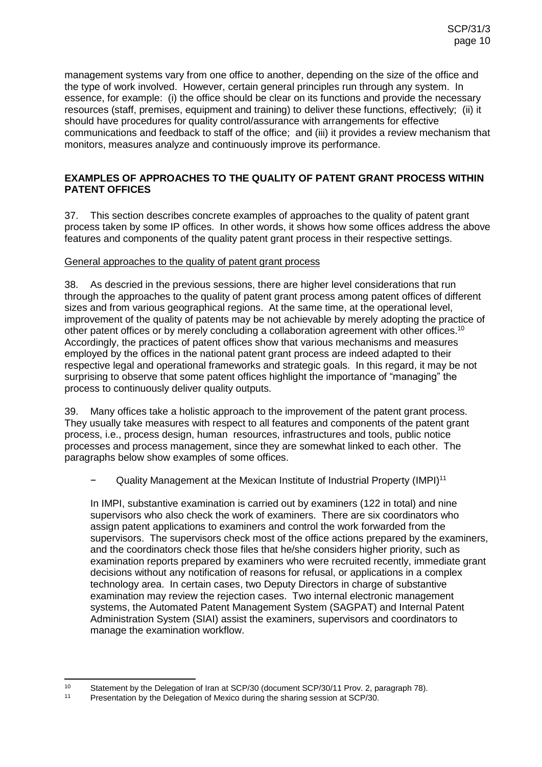management systems vary from one office to another, depending on the size of the office and the type of work involved. However, certain general principles run through any system. In essence, for example: (i) the office should be clear on its functions and provide the necessary resources (staff, premises, equipment and training) to deliver these functions, effectively; (ii) it should have procedures for quality control/assurance with arrangements for effective communications and feedback to staff of the office; and (iii) it provides a review mechanism that monitors, measures analyze and continuously improve its performance.

## **EXAMPLES OF APPROACHES TO THE QUALITY OF PATENT GRANT PROCESS WITHIN PATENT OFFICES**

37. This section describes concrete examples of approaches to the quality of patent grant process taken by some IP offices. In other words, it shows how some offices address the above features and components of the quality patent grant process in their respective settings.

#### General approaches to the quality of patent grant process

38. As descried in the previous sessions, there are higher level considerations that run through the approaches to the quality of patent grant process among patent offices of different sizes and from various geographical regions. At the same time, at the operational level, improvement of the quality of patents may be not achievable by merely adopting the practice of other patent offices or by merely concluding a collaboration agreement with other offices.<sup>10</sup> Accordingly, the practices of patent offices show that various mechanisms and measures employed by the offices in the national patent grant process are indeed adapted to their respective legal and operational frameworks and strategic goals. In this regard, it may be not surprising to observe that some patent offices highlight the importance of "managing" the process to continuously deliver quality outputs.

39. Many offices take a holistic approach to the improvement of the patent grant process. They usually take measures with respect to all features and components of the patent grant process, i.e., process design, human resources, infrastructures and tools, public notice processes and process management, since they are somewhat linked to each other. The paragraphs below show examples of some offices.

− Quality Management at the Mexican Institute of Industrial Property (IMPI)<sup>11</sup>

In IMPI, substantive examination is carried out by examiners (122 in total) and nine supervisors who also check the work of examiners. There are six coordinators who assign patent applications to examiners and control the work forwarded from the supervisors. The supervisors check most of the office actions prepared by the examiners, and the coordinators check those files that he/she considers higher priority, such as examination reports prepared by examiners who were recruited recently, immediate grant decisions without any notification of reasons for refusal, or applications in a complex technology area. In certain cases, two Deputy Directors in charge of substantive examination may review the rejection cases. Two internal electronic management systems, the Automated Patent Management System (SAGPAT) and Internal Patent Administration System (SIAI) assist the examiners, supervisors and coordinators to manage the examination workflow.

 $10<sup>10</sup>$ 10 Statement by the Delegation of Iran at SCP/30 (document SCP/30/11 Prov. 2, paragraph 78).<br>11 Presentation by the Delegation of Mexico during the sharing session at SCP/30

Presentation by the Delegation of Mexico during the sharing session at SCP/30.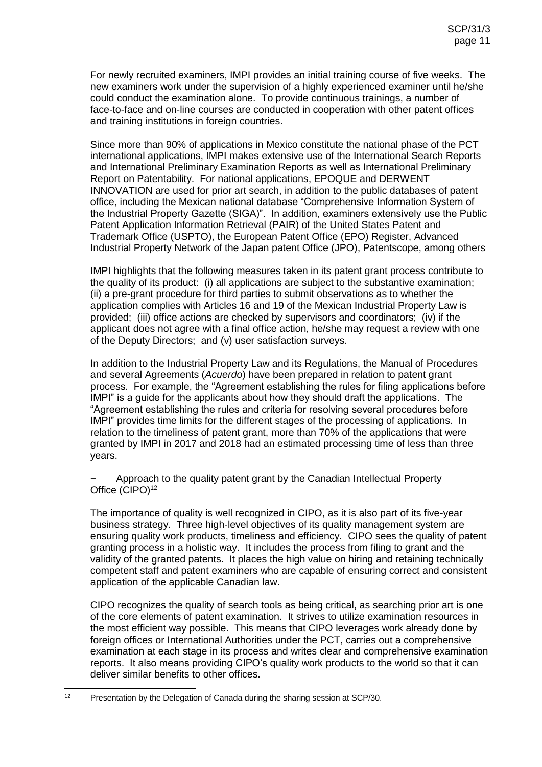For newly recruited examiners, IMPI provides an initial training course of five weeks. The new examiners work under the supervision of a highly experienced examiner until he/she could conduct the examination alone. To provide continuous trainings, a number of face-to-face and on-line courses are conducted in cooperation with other patent offices and training institutions in foreign countries.

Since more than 90% of applications in Mexico constitute the national phase of the PCT international applications, IMPI makes extensive use of the International Search Reports and International Preliminary Examination Reports as well as International Preliminary Report on Patentability. For national applications, EPOQUE and DERWENT INNOVATION are used for prior art search, in addition to the public databases of patent office, including the Mexican national database "Comprehensive Information System of the Industrial Property Gazette (SIGA)". In addition, examiners extensively use the Public Patent Application Information Retrieval (PAIR) of the United States Patent and Trademark Office (USPTO), the European Patent Office (EPO) Register, Advanced Industrial Property Network of the Japan patent Office (JPO), Patentscope, among others

IMPI highlights that the following measures taken in its patent grant process contribute to the quality of its product: (i) all applications are subject to the substantive examination; (ii) a pre-grant procedure for third parties to submit observations as to whether the application complies with Articles 16 and 19 of the Mexican Industrial Property Law is provided; (iii) office actions are checked by supervisors and coordinators; (iv) if the applicant does not agree with a final office action, he/she may request a review with one of the Deputy Directors; and (v) user satisfaction surveys.

In addition to the Industrial Property Law and its Regulations, the Manual of Procedures and several Agreements (*Acuerdo*) have been prepared in relation to patent grant process. For example, the "Agreement establishing the rules for filing applications before IMPI" is a guide for the applicants about how they should draft the applications. The "Agreement establishing the rules and criteria for resolving several procedures before IMPI" provides time limits for the different stages of the processing of applications. In relation to the timeliness of patent grant, more than 70% of the applications that were granted by IMPI in 2017 and 2018 had an estimated processing time of less than three years.

− Approach to the quality patent grant by the Canadian Intellectual Property Office (CIPO)<sup>12</sup>

The importance of quality is well recognized in CIPO, as it is also part of its five-year business strategy. Three high-level objectives of its quality management system are ensuring quality work products, timeliness and efficiency. CIPO sees the quality of patent granting process in a holistic way. It includes the process from filing to grant and the validity of the granted patents. It places the high value on hiring and retaining technically competent staff and patent examiners who are capable of ensuring correct and consistent application of the applicable Canadian law.

CIPO recognizes the quality of search tools as being critical, as searching prior art is one of the core elements of patent examination. It strives to utilize examination resources in the most efficient way possible. This means that CIPO leverages work already done by foreign offices or International Authorities under the PCT, carries out a comprehensive examination at each stage in its process and writes clear and comprehensive examination reports. It also means providing CIPO's quality work products to the world so that it can deliver similar benefits to other offices.

 $12$ Presentation by the Delegation of Canada during the sharing session at SCP/30.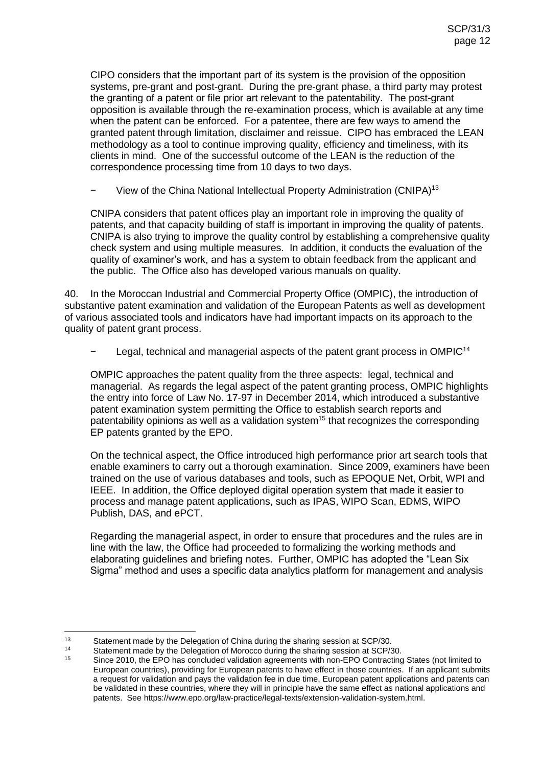CIPO considers that the important part of its system is the provision of the opposition systems, pre-grant and post-grant. During the pre-grant phase, a third party may protest the granting of a patent or file prior art relevant to the patentability. The post-grant opposition is available through the re-examination process, which is available at any time when the patent can be enforced. For a patentee, there are few ways to amend the granted patent through limitation, disclaimer and reissue. CIPO has embraced the LEAN methodology as a tool to continue improving quality, efficiency and timeliness, with its clients in mind. One of the successful outcome of the LEAN is the reduction of the correspondence processing time from 10 days to two days.

View of the China National Intellectual Property Administration (CNIPA)<sup>13</sup>

CNIPA considers that patent offices play an important role in improving the quality of patents, and that capacity building of staff is important in improving the quality of patents. CNIPA is also trying to improve the quality control by establishing a comprehensive quality check system and using multiple measures. In addition, it conducts the evaluation of the quality of examiner's work, and has a system to obtain feedback from the applicant and the public. The Office also has developed various manuals on quality.

40. In the Moroccan Industrial and Commercial Property Office (OMPIC), the introduction of substantive patent examination and validation of the European Patents as well as development of various associated tools and indicators have had important impacts on its approach to the quality of patent grant process.

Legal, technical and managerial aspects of the patent grant process in OMPIC<sup>14</sup>

OMPIC approaches the patent quality from the three aspects: legal, technical and managerial. As regards the legal aspect of the patent granting process, OMPIC highlights the entry into force of Law No. 17-97 in December 2014, which introduced a substantive patent examination system permitting the Office to establish search reports and patentability opinions as well as a validation system<sup>15</sup> that recognizes the corresponding EP patents granted by the EPO.

On the technical aspect, the Office introduced high performance prior art search tools that enable examiners to carry out a thorough examination. Since 2009, examiners have been trained on the use of various databases and tools, such as EPOQUE Net, Orbit, WPI and IEEE. In addition, the Office deployed digital operation system that made it easier to process and manage patent applications, such as IPAS, WIPO Scan, EDMS, WIPO Publish, DAS, and ePCT.

Regarding the managerial aspect, in order to ensure that procedures and the rules are in line with the law, the Office had proceeded to formalizing the working methods and elaborating guidelines and briefing notes. Further, OMPIC has adopted the "Lean Six Sigma" method and uses a specific data analytics platform for management and analysis

 $13$ 13 Statement made by the Delegation of China during the sharing session at SCP/30.<br>14 Statement made by the Delegation of Mercese during the sharing session at SCP/3

<sup>14</sup> Statement made by the Delegation of Morocco during the sharing session at SCP/30.<br>15 Since 2010, the FPO has concluded validation organization with non-FPO Contracting

Since 2010, the EPO has concluded validation agreements with non-EPO Contracting States (not limited to European countries), providing for European patents to have effect in those countries. If an applicant submits a request for validation and pays the validation fee in due time, European patent applications and patents can be validated in these countries, where they will in principle have the same effect as national applications and patents. See https://www.epo.org/law-practice/legal-texts/extension-validation-system.html.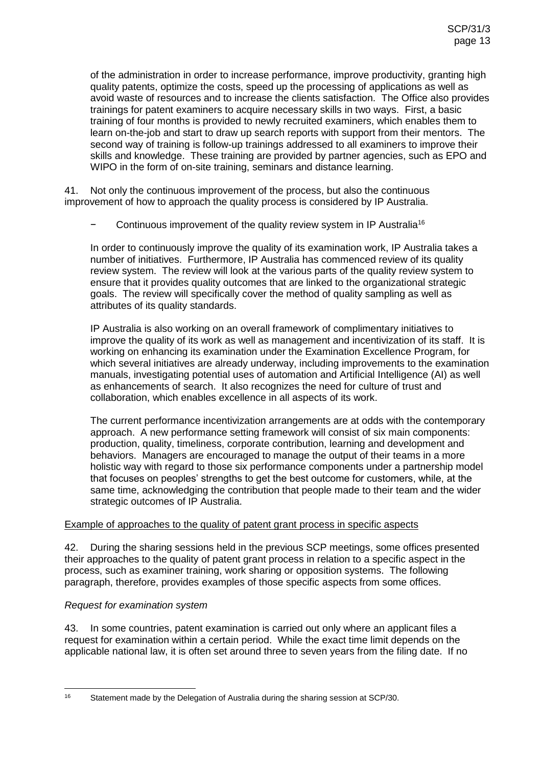of the administration in order to increase performance, improve productivity, granting high quality patents, optimize the costs, speed up the processing of applications as well as avoid waste of resources and to increase the clients satisfaction. The Office also provides trainings for patent examiners to acquire necessary skills in two ways. First, a basic training of four months is provided to newly recruited examiners, which enables them to learn on-the-job and start to draw up search reports with support from their mentors. The second way of training is follow-up trainings addressed to all examiners to improve their skills and knowledge. These training are provided by partner agencies, such as EPO and WIPO in the form of on-site training, seminars and distance learning.

41. Not only the continuous improvement of the process, but also the continuous improvement of how to approach the quality process is considered by IP Australia.

Continuous improvement of the quality review system in IP Australia<sup>16</sup>

In order to continuously improve the quality of its examination work, IP Australia takes a number of initiatives. Furthermore, IP Australia has commenced review of its quality review system. The review will look at the various parts of the quality review system to ensure that it provides quality outcomes that are linked to the organizational strategic goals. The review will specifically cover the method of quality sampling as well as attributes of its quality standards.

IP Australia is also working on an overall framework of complimentary initiatives to improve the quality of its work as well as management and incentivization of its staff. It is working on enhancing its examination under the Examination Excellence Program, for which several initiatives are already underway, including improvements to the examination manuals, investigating potential uses of automation and Artificial Intelligence (AI) as well as enhancements of search. It also recognizes the need for culture of trust and collaboration, which enables excellence in all aspects of its work.

The current performance incentivization arrangements are at odds with the contemporary approach. A new performance setting framework will consist of six main components: production, quality, timeliness, corporate contribution, learning and development and behaviors. Managers are encouraged to manage the output of their teams in a more holistic way with regard to those six performance components under a partnership model that focuses on peoples' strengths to get the best outcome for customers, while, at the same time, acknowledging the contribution that people made to their team and the wider strategic outcomes of IP Australia.

# Example of approaches to the quality of patent grant process in specific aspects

42. During the sharing sessions held in the previous SCP meetings, some offices presented their approaches to the quality of patent grant process in relation to a specific aspect in the process, such as examiner training, work sharing or opposition systems. The following paragraph, therefore, provides examples of those specific aspects from some offices.

# *Request for examination system*

43. In some countries, patent examination is carried out only where an applicant files a request for examination within a certain period. While the exact time limit depends on the applicable national law, it is often set around three to seven years from the filing date. If no

 $16$ Statement made by the Delegation of Australia during the sharing session at SCP/30.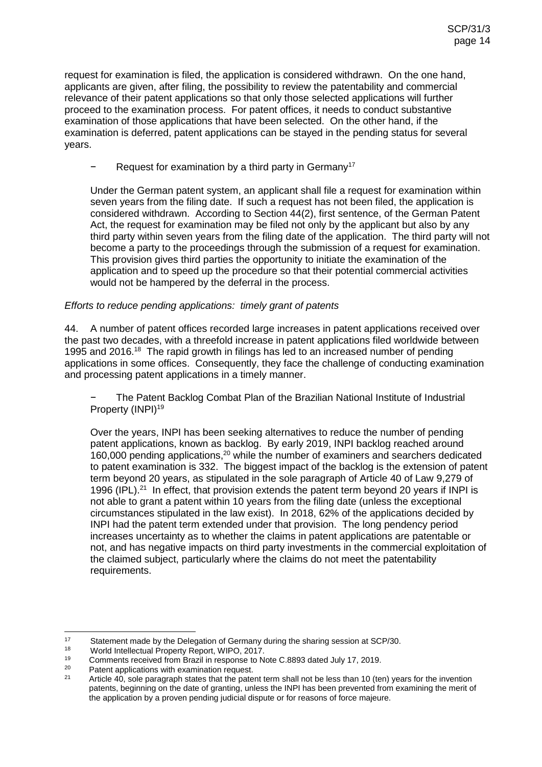request for examination is filed, the application is considered withdrawn. On the one hand, applicants are given, after filing, the possibility to review the patentability and commercial relevance of their patent applications so that only those selected applications will further proceed to the examination process. For patent offices, it needs to conduct substantive examination of those applications that have been selected. On the other hand, if the examination is deferred, patent applications can be stayed in the pending status for several years.

Request for examination by a third party in Germany<sup>17</sup>

Under the German patent system, an applicant shall file a request for examination within seven years from the filing date. If such a request has not been filed, the application is considered withdrawn. According to Section 44(2), first sentence, of the German Patent Act, the request for examination may be filed not only by the applicant but also by any third party within seven years from the filing date of the application. The third party will not become a party to the proceedings through the submission of a request for examination. This provision gives third parties the opportunity to initiate the examination of the application and to speed up the procedure so that their potential commercial activities would not be hampered by the deferral in the process.

#### *Efforts to reduce pending applications: timely grant of patents*

44. A number of patent offices recorded large increases in patent applications received over the past two decades, with a threefold increase in patent applications filed worldwide between 1995 and 2016.<sup>18</sup> The rapid growth in filings has led to an increased number of pending applications in some offices. Consequently, they face the challenge of conducting examination and processing patent applications in a timely manner.

The Patent Backlog Combat Plan of the Brazilian National Institute of Industrial Property (INPI)<sup>19</sup>

Over the years, INPI has been seeking alternatives to reduce the number of pending patent applications, known as backlog. By early 2019, INPI backlog reached around 160,000 pending applications,<sup>20</sup> while the number of examiners and searchers dedicated to patent examination is 332. The biggest impact of the backlog is the extension of patent term beyond 20 years, as stipulated in the sole paragraph of Article 40 of Law 9,279 of 1996 (IPL).<sup>21</sup> In effect, that provision extends the patent term beyond 20 years if INPI is not able to grant a patent within 10 years from the filing date (unless the exceptional circumstances stipulated in the law exist). In 2018, 62% of the applications decided by INPI had the patent term extended under that provision. The long pendency period increases uncertainty as to whether the claims in patent applications are patentable or not, and has negative impacts on third party investments in the commercial exploitation of the claimed subject, particularly where the claims do not meet the patentability requirements.

 $17$ <sup>17</sup> Statement made by the Delegation of Germany during the sharing session at SCP/30.<br><sup>18</sup> World Intellectual Property Report WIPO 2017

<sup>18</sup> World Intellectual Property Report, WIPO, 2017.

<sup>&</sup>lt;sup>19</sup> Comments received from Brazil in response to Note C.8893 dated July 17, 2019.<br><sup>20</sup> Patent applications with examination request

<sup>&</sup>lt;sup>20</sup> Patent applications with examination request.<br> $21$  Article 40, acle perceps at the that the pate

Article 40, sole paragraph states that the patent term shall not be less than 10 (ten) years for the invention patents, beginning on the date of granting, unless the INPI has been prevented from examining the merit of the application by a proven pending judicial dispute or for reasons of force majeure.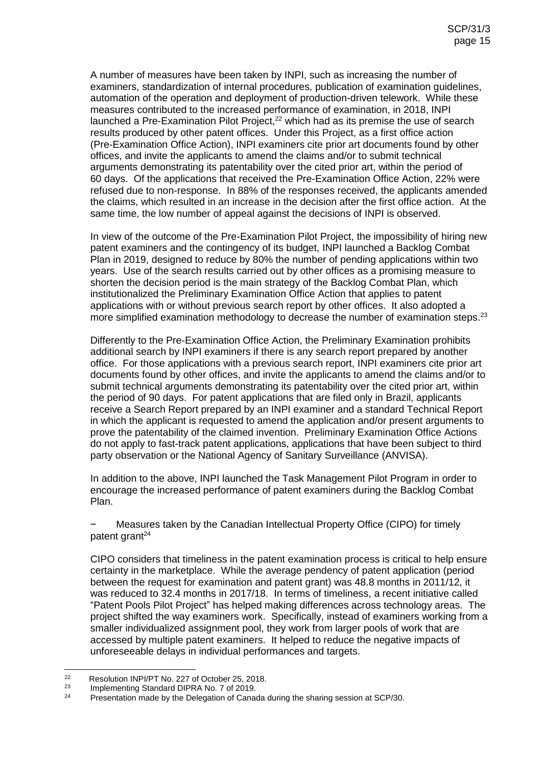A number of measures have been taken by INPI, such as increasing the number of examiners, standardization of internal procedures, publication of examination guidelines, automation of the operation and deployment of production-driven telework. While these measures contributed to the increased performance of examination, in 2018, INPI launched a Pre-Examination Pilot Project,<sup>22</sup> which had as its premise the use of search results produced by other patent offices. Under this Project, as a first office action (Pre-Examination Office Action), INPI examiners cite prior art documents found by other offices, and invite the applicants to amend the claims and/or to submit technical arguments demonstrating its patentability over the cited prior art, within the period of 60 days. Of the applications that received the Pre-Examination Office Action, 22% were refused due to non-response. In 88% of the responses received, the applicants amended the claims, which resulted in an increase in the decision after the first office action. At the same time, the low number of appeal against the decisions of INPI is observed.

In view of the outcome of the Pre-Examination Pilot Project, the impossibility of hiring new patent examiners and the contingency of its budget, INPI launched a Backlog Combat Plan in 2019, designed to reduce by 80% the number of pending applications within two years. Use of the search results carried out by other offices as a promising measure to shorten the decision period is the main strategy of the Backlog Combat Plan, which institutionalized the Preliminary Examination Office Action that applies to patent applications with or without previous search report by other offices. It also adopted a more simplified examination methodology to decrease the number of examination steps.<sup>23</sup>

Differently to the Pre-Examination Office Action, the Preliminary Examination prohibits additional search by INPI examiners if there is any search report prepared by another office. For those applications with a previous search report, INPI examiners cite prior art documents found by other offices, and invite the applicants to amend the claims and/or to submit technical arguments demonstrating its patentability over the cited prior art, within the period of 90 days. For patent applications that are filed only in Brazil, applicants receive a Search Report prepared by an INPI examiner and a standard Technical Report in which the applicant is requested to amend the application and/or present arguments to prove the patentability of the claimed invention. Preliminary Examination Office Actions do not apply to fast-track patent applications, applications that have been subject to third party observation or the National Agency of Sanitary Surveillance (ANVISA).

In addition to the above, INPI launched the Task Management Pilot Program in order to encourage the increased performance of patent examiners during the Backlog Combat Plan.

− Measures taken by the Canadian Intellectual Property Office (CIPO) for timely patent grant<sup>24</sup>

CIPO considers that timeliness in the patent examination process is critical to help ensure certainty in the marketplace. While the average pendency of patent application (period between the request for examination and patent grant) was 48.8 months in 2011/12, it was reduced to 32.4 months in 2017/18. In terms of timeliness, a recent initiative called "Patent Pools Pilot Project" has helped making differences across technology areas. The project shifted the way examiners work. Specifically, instead of examiners working from a smaller individualized assignment pool, they work from larger pools of work that are accessed by multiple patent examiners. It helped to reduce the negative impacts of unforeseeable delays in individual performances and targets.

 $22$ <sup>22</sup> Resolution INPI/PT No. 227 of October 25, 2018.

<sup>&</sup>lt;sup>23</sup> Implementing Standard DIPRA No. 7 of 2019.

Presentation made by the Delegation of Canada during the sharing session at SCP/30.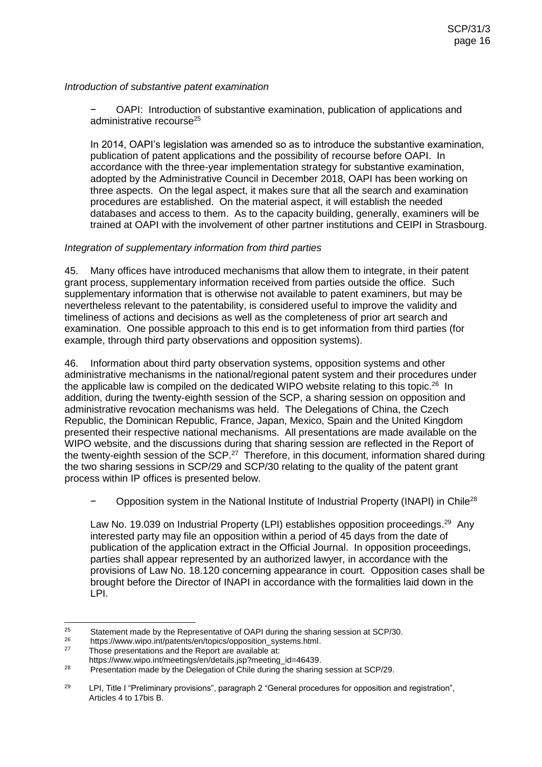#### *Introduction of substantive patent examination*

− OAPI: Introduction of substantive examination, publication of applications and administrative recourse<sup>25</sup>

In 2014, OAPI's legislation was amended so as to introduce the substantive examination, publication of patent applications and the possibility of recourse before OAPI. In accordance with the three-year implementation strategy for substantive examination, adopted by the Administrative Council in December 2018, OAPI has been working on three aspects. On the legal aspect, it makes sure that all the search and examination procedures are established. On the material aspect, it will establish the needed databases and access to them. As to the capacity building, generally, examiners will be trained at OAPI with the involvement of other partner institutions and CEIPI in Strasbourg.

#### *Integration of supplementary information from third parties*

45. Many offices have introduced mechanisms that allow them to integrate, in their patent grant process, supplementary information received from parties outside the office. Such supplementary information that is otherwise not available to patent examiners, but may be nevertheless relevant to the patentability, is considered useful to improve the validity and timeliness of actions and decisions as well as the completeness of prior art search and examination. One possible approach to this end is to get information from third parties (for example, through third party observations and opposition systems).

46. Information about third party observation systems, opposition systems and other administrative mechanisms in the national/regional patent system and their procedures under the applicable law is compiled on the dedicated WIPO website relating to this topic.<sup>26</sup> In addition, during the twenty-eighth session of the SCP, a sharing session on opposition and administrative revocation mechanisms was held. The Delegations of China, the Czech Republic, the Dominican Republic, France, Japan, Mexico, Spain and the United Kingdom presented their respective national mechanisms. All presentations are made available on the WIPO website, and the discussions during that sharing session are reflected in the Report of the twenty-eighth session of the SCP.<sup>27</sup> Therefore, in this document, information shared during the two sharing sessions in SCP/29 and SCP/30 relating to the quality of the patent grant process within IP offices is presented below.

− Opposition system in the National Institute of Industrial Property (INAPI) in Chile<sup>28</sup>

Law No. 19.039 on Industrial Property (LPI) establishes opposition proceedings.<sup>29</sup> Any interested party may file an opposition within a period of 45 days from the date of publication of the application extract in the Official Journal. In opposition proceedings, parties shall appear represented by an authorized lawyer, in accordance with the provisions of Law No. 18.120 concerning appearance in court. Opposition cases shall be brought before the Director of INAPI in accordance with the formalities laid down in the LPI.

<sup>25</sup> <sup>25</sup> Statement made by the Representative of OAPI during the sharing session at SCP/30.<br><sup>26</sup> https://www.wipe.int/patents/on/topics/opposition, systems html

<sup>&</sup>lt;sup>26</sup> https://www.wipo.int/patents/en/topics/opposition\_systems.html.<br><sup>27</sup> These presentations and the Benert are available at:

Those presentations and the Report are available at:

https://www.wipo.int/meetings/en/details.jsp?meeting\_id=46439.

<sup>&</sup>lt;sup>28</sup> Presentation made by the Delegation of Chile during the sharing session at SCP/29.

<sup>&</sup>lt;sup>29</sup> LPI, Title I "Preliminary provisions", paragraph 2 "General procedures for opposition and registration", Articles 4 to 17bis B.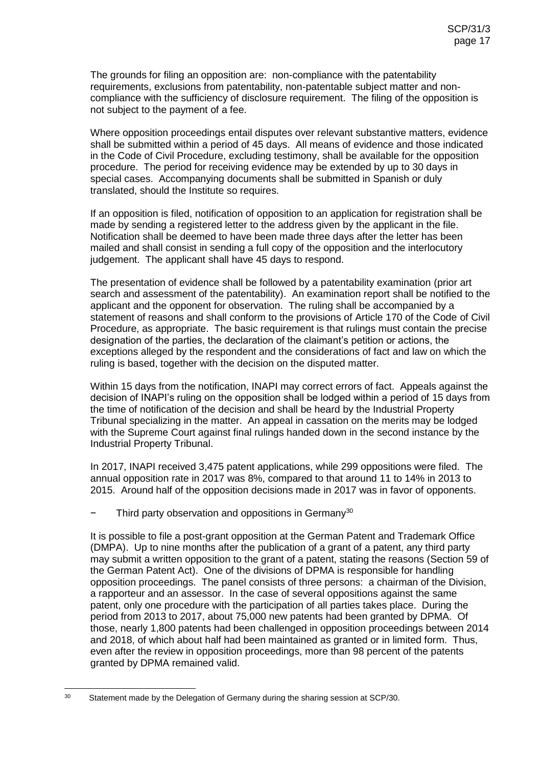The grounds for filing an opposition are: non-compliance with the patentability requirements, exclusions from patentability, non-patentable subject matter and noncompliance with the sufficiency of disclosure requirement. The filing of the opposition is not subject to the payment of a fee.

Where opposition proceedings entail disputes over relevant substantive matters, evidence shall be submitted within a period of 45 days. All means of evidence and those indicated in the Code of Civil Procedure, excluding testimony, shall be available for the opposition procedure. The period for receiving evidence may be extended by up to 30 days in special cases. Accompanying documents shall be submitted in Spanish or duly translated, should the Institute so requires.

If an opposition is filed, notification of opposition to an application for registration shall be made by sending a registered letter to the address given by the applicant in the file. Notification shall be deemed to have been made three days after the letter has been mailed and shall consist in sending a full copy of the opposition and the interlocutory judgement. The applicant shall have 45 days to respond.

The presentation of evidence shall be followed by a patentability examination (prior art search and assessment of the patentability). An examination report shall be notified to the applicant and the opponent for observation. The ruling shall be accompanied by a statement of reasons and shall conform to the provisions of Article 170 of the Code of Civil Procedure, as appropriate. The basic requirement is that rulings must contain the precise designation of the parties, the declaration of the claimant's petition or actions, the exceptions alleged by the respondent and the considerations of fact and law on which the ruling is based, together with the decision on the disputed matter.

Within 15 days from the notification, INAPI may correct errors of fact. Appeals against the decision of INAPI's ruling on the opposition shall be lodged within a period of 15 days from the time of notification of the decision and shall be heard by the Industrial Property Tribunal specializing in the matter. An appeal in cassation on the merits may be lodged with the Supreme Court against final rulings handed down in the second instance by the Industrial Property Tribunal.

In 2017, INAPI received 3,475 patent applications, while 299 oppositions were filed. The annual opposition rate in 2017 was 8%, compared to that around 11 to 14% in 2013 to 2015. Around half of the opposition decisions made in 2017 was in favor of opponents.

Third party observation and oppositions in Germany<sup>30</sup>

It is possible to file a post-grant opposition at the German Patent and Trademark Office (DMPA). Up to nine months after the publication of a grant of a patent, any third party may submit a written opposition to the grant of a patent, stating the reasons (Section 59 of the German Patent Act). One of the divisions of DPMA is responsible for handling opposition proceedings. The panel consists of three persons: a chairman of the Division, a rapporteur and an assessor. In the case of several oppositions against the same patent, only one procedure with the participation of all parties takes place. During the period from 2013 to 2017, about 75,000 new patents had been granted by DPMA. Of those, nearly 1,800 patents had been challenged in opposition proceedings between 2014 and 2018, of which about half had been maintained as granted or in limited form. Thus, even after the review in opposition proceedings, more than 98 percent of the patents granted by DPMA remained valid.

 $30^{\circ}$ Statement made by the Delegation of Germany during the sharing session at SCP/30.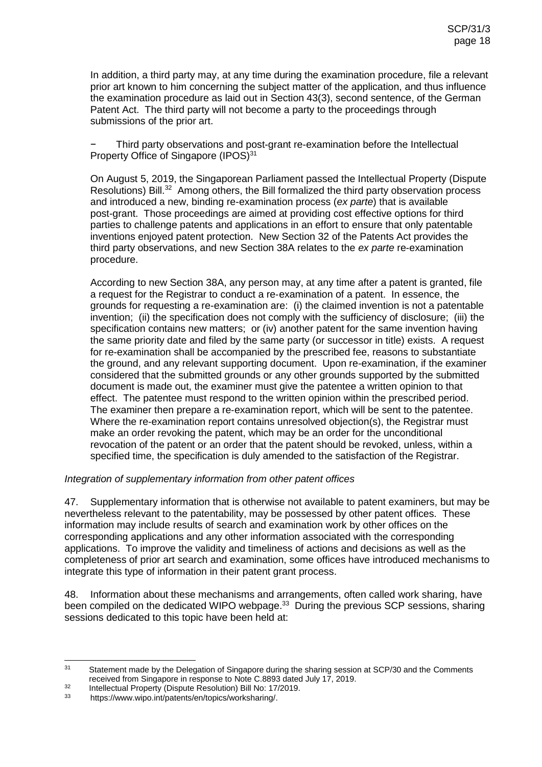In addition, a third party may, at any time during the examination procedure, file a relevant prior art known to him concerning the subject matter of the application, and thus influence the examination procedure as laid out in Section 43(3), second sentence, of the German Patent Act. The third party will not become a party to the proceedings through submissions of the prior art.

Third party observations and post-grant re-examination before the Intellectual Property Office of Singapore (IPOS)<sup>31</sup>

On August 5, 2019, the Singaporean Parliament passed the Intellectual Property (Dispute Resolutions) Bill.<sup>32</sup> Among others, the Bill formalized the third party observation process and introduced a new, binding re-examination process (*ex parte*) that is available post-grant. Those proceedings are aimed at providing cost effective options for third parties to challenge patents and applications in an effort to ensure that only patentable inventions enjoyed patent protection. New Section 32 of the Patents Act provides the third party observations, and new Section 38A relates to the *ex parte* re-examination procedure.

According to new Section 38A, any person may, at any time after a patent is granted, file a request for the Registrar to conduct a re‑examination of a patent. In essence, the grounds for requesting a re-examination are: (i) the claimed invention is not a patentable invention; (ii) the specification does not comply with the sufficiency of disclosure; (iii) the specification contains new matters; or (iv) another patent for the same invention having the same priority date and filed by the same party (or successor in title) exists. A request for re-examination shall be accompanied by the prescribed fee, reasons to substantiate the ground, and any relevant supporting document. Upon re-examination, if the examiner considered that the submitted grounds or any other grounds supported by the submitted document is made out, the examiner must give the patentee a written opinion to that effect. The patentee must respond to the written opinion within the prescribed period. The examiner then prepare a re‑examination report, which will be sent to the patentee. Where the re-examination report contains unresolved objection(s), the Registrar must make an order revoking the patent, which may be an order for the unconditional revocation of the patent or an order that the patent should be revoked, unless, within a specified time, the specification is duly amended to the satisfaction of the Registrar.

#### *Integration of supplementary information from other patent offices*

47. Supplementary information that is otherwise not available to patent examiners, but may be nevertheless relevant to the patentability, may be possessed by other patent offices. These information may include results of search and examination work by other offices on the corresponding applications and any other information associated with the corresponding applications. To improve the validity and timeliness of actions and decisions as well as the completeness of prior art search and examination, some offices have introduced mechanisms to integrate this type of information in their patent grant process.

48. Information about these mechanisms and arrangements, often called work sharing, have been compiled on the dedicated WIPO webpage.<sup>33</sup> During the previous SCP sessions, sharing sessions dedicated to this topic have been held at:

 $31$ Statement made by the Delegation of Singapore during the sharing session at SCP/30 and the Comments received from Singapore in response to Note C.8893 dated July 17, 2019.

<sup>32</sup> Intellectual Property (Dispute Resolution) Bill No: 17/2019.<br> $\frac{33}{2}$  https://www.wipo.int/patents/en/topics/worksharing/

https://www.wipo.int/patents/en/topics/worksharing/.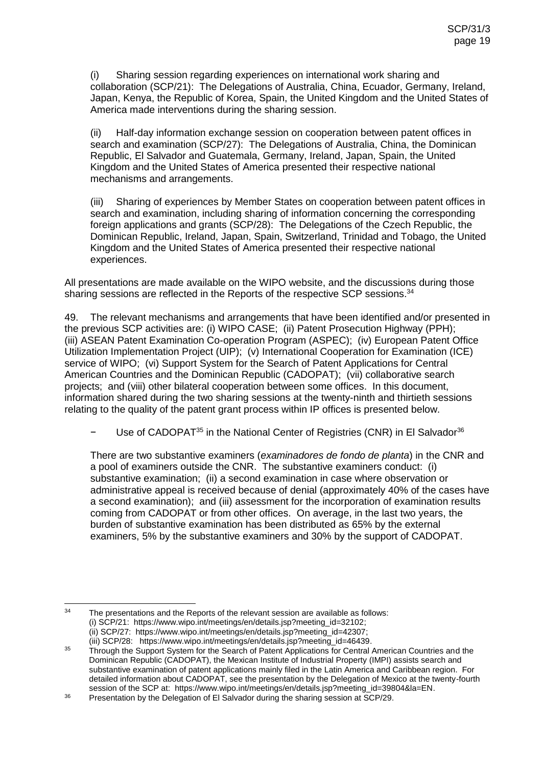(i) Sharing session regarding experiences on international work sharing and collaboration (SCP/21): The Delegations of Australia, China, Ecuador, Germany, Ireland, Japan, Kenya, the Republic of Korea, Spain, the United Kingdom and the United States of America made interventions during the sharing session.

(ii) Half-day information exchange session on cooperation between patent offices in search and examination (SCP/27): The Delegations of Australia, China, the Dominican Republic, El Salvador and Guatemala, Germany, Ireland, Japan, Spain, the United Kingdom and the United States of America presented their respective national mechanisms and arrangements.

(iii) Sharing of experiences by Member States on cooperation between patent offices in search and examination, including sharing of information concerning the corresponding foreign applications and grants (SCP/28): The Delegations of the Czech Republic, the Dominican Republic, Ireland, Japan, Spain, Switzerland, Trinidad and Tobago, the United Kingdom and the United States of America presented their respective national experiences.

All presentations are made available on the WIPO website, and the discussions during those sharing sessions are reflected in the Reports of the respective SCP sessions.<sup>34</sup>

49. The relevant mechanisms and arrangements that have been identified and/or presented in the previous SCP activities are: (i) WIPO CASE; (ii) Patent Prosecution Highway (PPH); (iii) ASEAN Patent Examination Co-operation Program (ASPEC); (iv) European Patent Office Utilization Implementation Project (UIP); (v) International Cooperation for Examination (ICE) service of WIPO; (vi) Support System for the Search of Patent Applications for Central American Countries and the Dominican Republic (CADOPAT); (vii) collaborative search projects; and (viii) other bilateral cooperation between some offices. In this document, information shared during the two sharing sessions at the twenty-ninth and thirtieth sessions relating to the quality of the patent grant process within IP offices is presented below.

Use of CADOPAT<sup>35</sup> in the National Center of Registries (CNR) in El Salvador<sup>36</sup>

There are two substantive examiners (*examinadores de fondo de planta*) in the CNR and a pool of examiners outside the CNR. The substantive examiners conduct: (i) substantive examination; (ii) a second examination in case where observation or administrative appeal is received because of denial (approximately 40% of the cases have a second examination); and (iii) assessment for the incorporation of examination results coming from CADOPAT or from other offices. On average, in the last two years, the burden of substantive examination has been distributed as 65% by the external examiners, 5% by the substantive examiners and 30% by the support of CADOPAT.

<sup>34</sup> The presentations and the Reports of the relevant session are available as follows: (i) SCP/21: https://www.wipo.int/meetings/en/details.jsp?meeting\_id=32102; (ii) SCP/27: https://www.wipo.int/meetings/en/details.jsp?meeting\_id=42307; (iii) SCP/28: https://www.wipo.int/meetings/en/details.jsp?meeting\_id=46439.

<sup>&</sup>lt;sup>35</sup> Through the Support System for the Search of Patent Applications for Central American Countries and the Dominican Republic (CADOPAT), the Mexican Institute of Industrial Property (IMPI) assists search and substantive examination of patent applications mainly filed in the Latin America and Caribbean region. For detailed information about CADOPAT, see the presentation by the Delegation of Mexico at the twenty-fourth session of the SCP at: https://www.wipo.int/meetings/en/details.jsp?meeting\_id=39804&la=EN.

<sup>&</sup>lt;sup>36</sup> Presentation by the Delegation of El Salvador during the sharing session at SCP/29.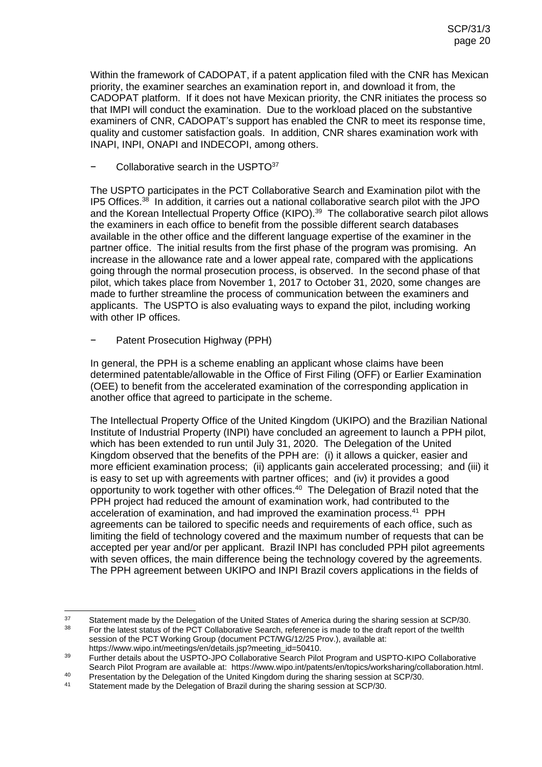Within the framework of CADOPAT, if a patent application filed with the CNR has Mexican priority, the examiner searches an examination report in, and download it from, the CADOPAT platform. If it does not have Mexican priority, the CNR initiates the process so that IMPI will conduct the examination. Due to the workload placed on the substantive examiners of CNR, CADOPAT's support has enabled the CNR to meet its response time, quality and customer satisfaction goals. In addition, CNR shares examination work with INAPI, INPI, ONAPI and INDECOPI, among others.

#### Collaborative search in the USPTO<sup>37</sup>

The USPTO participates in the PCT Collaborative Search and Examination pilot with the IP5 Offices.<sup>38</sup> In addition, it carries out a national collaborative search pilot with the JPO and the Korean Intellectual Property Office (KIPO). 39 The collaborative search pilot allows the examiners in each office to benefit from the possible different search databases available in the other office and the different language expertise of the examiner in the partner office. The initial results from the first phase of the program was promising. An increase in the allowance rate and a lower appeal rate, compared with the applications going through the normal prosecution process, is observed. In the second phase of that pilot, which takes place from November 1, 2017 to October 31, 2020, some changes are made to further streamline the process of communication between the examiners and applicants. The USPTO is also evaluating ways to expand the pilot, including working with other IP offices.

#### − Patent Prosecution Highway (PPH)

In general, the PPH is a scheme enabling an applicant whose claims have been determined patentable/allowable in the Office of First Filing (OFF) or Earlier Examination (OEE) to benefit from the accelerated examination of the corresponding application in another office that agreed to participate in the scheme.

The Intellectual Property Office of the United Kingdom (UKIPO) and the Brazilian National Institute of Industrial Property (INPI) have concluded an agreement to launch a PPH pilot, which has been extended to run until July 31, 2020. The Delegation of the United Kingdom observed that the benefits of the PPH are: (i) it allows a quicker, easier and more efficient examination process; (ii) applicants gain accelerated processing; and (iii) it is easy to set up with agreements with partner offices; and (iv) it provides a good opportunity to work together with other offices.<sup>40</sup> The Delegation of Brazil noted that the PPH project had reduced the amount of examination work, had contributed to the acceleration of examination, and had improved the examination process.<sup>41</sup> PPH agreements can be tailored to specific needs and requirements of each office, such as limiting the field of technology covered and the maximum number of requests that can be accepted per year and/or per applicant. Brazil INPI has concluded PPH pilot agreements with seven offices, the main difference being the technology covered by the agreements. The PPH agreement between UKIPO and INPI Brazil covers applications in the fields of

https://www.wipo.int/meetings/en/details.jsp?meeting\_id=50410.

<sup>37</sup> <sup>37</sup> Statement made by the Delegation of the United States of America during the sharing session at SCP/30. <sup>38</sup> For the latest status of the PCT Collaborative Search, reference is made to the draft report of the twelfth session of the PCT Working Group (document PCT/WG/12/25 Prov.), available at:

<sup>&</sup>lt;sup>39</sup> Further details about the USPTO-JPO Collaborative Search Pilot Program and USPTO-KIPO Collaborative Search Pilot Program are available at: https://www.wipo.int/patents/en/topics/worksharing/collaboration.html.

<sup>40</sup> Presentation by the Delegation of the United Kingdom during the sharing session at SCP/30.<br>41 Statement made by the Delegation of Brazil during the sharing session at SCP/30.

Statement made by the Delegation of Brazil during the sharing session at SCP/30.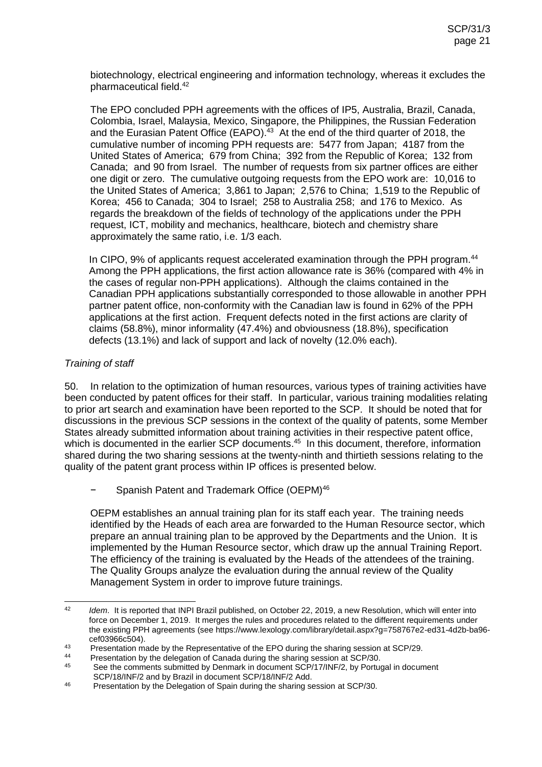biotechnology, electrical engineering and information technology, whereas it excludes the pharmaceutical field.<sup>42</sup>

The EPO concluded PPH agreements with the offices of IP5, Australia, Brazil, Canada, Colombia, Israel, Malaysia, Mexico, Singapore, the Philippines, the Russian Federation and the Eurasian Patent Office (EAPO). $43$  At the end of the third quarter of 2018, the cumulative number of incoming PPH requests are: 5477 from Japan; 4187 from the United States of America; 679 from China; 392 from the Republic of Korea; 132 from Canada; and 90 from Israel. The number of requests from six partner offices are either one digit or zero. The cumulative outgoing requests from the EPO work are: 10,016 to the United States of America; 3,861 to Japan; 2,576 to China; 1,519 to the Republic of Korea; 456 to Canada; 304 to Israel; 258 to Australia 258; and 176 to Mexico. As regards the breakdown of the fields of technology of the applications under the PPH request, ICT, mobility and mechanics, healthcare, biotech and chemistry share approximately the same ratio, i.e. 1/3 each.

In CIPO, 9% of applicants request accelerated examination through the PPH program.<sup>44</sup> Among the PPH applications, the first action allowance rate is 36% (compared with 4% in the cases of regular non-PPH applications). Although the claims contained in the Canadian PPH applications substantially corresponded to those allowable in another PPH partner patent office, non-conformity with the Canadian law is found in 62% of the PPH applications at the first action. Frequent defects noted in the first actions are clarity of claims (58.8%), minor informality (47.4%) and obviousness (18.8%), specification defects (13.1%) and lack of support and lack of novelty (12.0% each).

# *Training of staff*

50. In relation to the optimization of human resources, various types of training activities have been conducted by patent offices for their staff. In particular, various training modalities relating to prior art search and examination have been reported to the SCP. It should be noted that for discussions in the previous SCP sessions in the context of the quality of patents, some Member States already submitted information about training activities in their respective patent office, which is documented in the earlier SCP documents.<sup>45</sup> In this document, therefore, information shared during the two sharing sessions at the twenty-ninth and thirtieth sessions relating to the quality of the patent grant process within IP offices is presented below.

− Spanish Patent and Trademark Office (OEPM) 46

OEPM establishes an annual training plan for its staff each year. The training needs identified by the Heads of each area are forwarded to the Human Resource sector, which prepare an annual training plan to be approved by the Departments and the Union. It is implemented by the Human Resource sector, which draw up the annual Training Report. The efficiency of the training is evaluated by the Heads of the attendees of the training. The Quality Groups analyze the evaluation during the annual review of the Quality Management System in order to improve future trainings.

 $\Delta$ 2 *Idem.* It is reported that INPI Brazil published, on October 22, 2019, a new Resolution, which will enter into force on December 1, 2019. It merges the rules and procedures related to the different requirements under the existing PPH agreements (see https://www.lexology.com/library/detail.aspx?g=758767e2-ed31-4d2b-ba96 cef03966c504).

<sup>43</sup> Presentation made by the Representative of the EPO during the sharing session at SCP/29.

<sup>&</sup>lt;sup>44</sup> Presentation by the delegation of Canada during the sharing session at SCP/30.<br><sup>45</sup> See the sommente submitted by Donmark in desument SCP/17/INE/2, by Pertus

See the comments submitted by Denmark in document SCP/17/INF/2, by Portugal in document SCP/18/INF/2 and by Brazil in document SCP/18/INF/2 Add.

<sup>&</sup>lt;sup>46</sup> Presentation by the Delegation of Spain during the sharing session at SCP/30.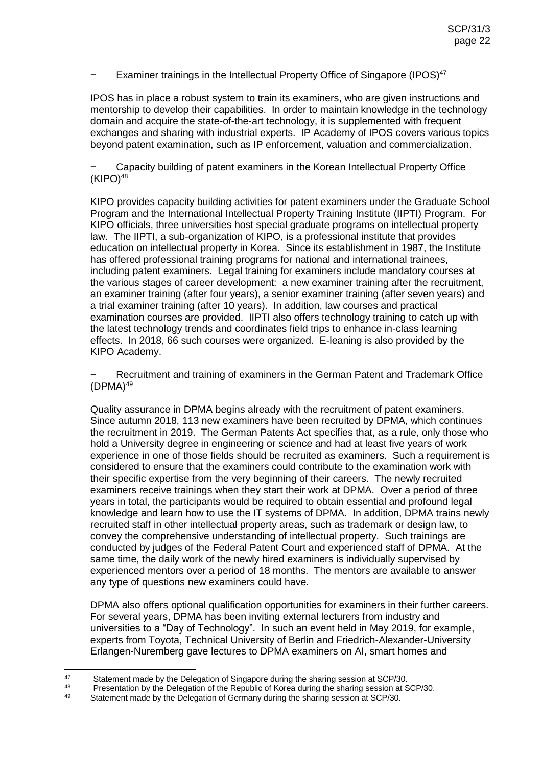## − Examiner trainings in the Intellectual Property Office of Singapore (IPOS) 47

IPOS has in place a robust system to train its examiners, who are given instructions and mentorship to develop their capabilities. In order to maintain knowledge in the technology domain and acquire the state-of-the-art technology, it is supplemented with frequent exchanges and sharing with industrial experts. IP Academy of IPOS covers various topics beyond patent examination, such as IP enforcement, valuation and commercialization.

− Capacity building of patent examiners in the Korean Intellectual Property Office  $(KIPO)<sup>48</sup>$ 

KIPO provides capacity building activities for patent examiners under the Graduate School Program and the International Intellectual Property Training Institute (IIPTI) Program. For KIPO officials, three universities host special graduate programs on intellectual property law. The IIPTI, a sub-organization of KIPO, is a professional institute that provides education on intellectual property in Korea. Since its establishment in 1987, the Institute has offered professional training programs for national and international trainees, including patent examiners. Legal training for examiners include mandatory courses at the various stages of career development: a new examiner training after the recruitment, an examiner training (after four years), a senior examiner training (after seven years) and a trial examiner training (after 10 years). In addition, law courses and practical examination courses are provided. IIPTI also offers technology training to catch up with the latest technology trends and coordinates field trips to enhance in-class learning effects. In 2018, 66 such courses were organized. E-leaning is also provided by the KIPO Academy.

Recruitment and training of examiners in the German Patent and Trademark Office  $(DPMA)<sup>49</sup>$ 

Quality assurance in DPMA begins already with the recruitment of patent examiners. Since autumn 2018, 113 new examiners have been recruited by DPMA, which continues the recruitment in 2019. The German Patents Act specifies that, as a rule, only those who hold a University degree in engineering or science and had at least five years of work experience in one of those fields should be recruited as examiners. Such a requirement is considered to ensure that the examiners could contribute to the examination work with their specific expertise from the very beginning of their careers. The newly recruited examiners receive trainings when they start their work at DPMA. Over a period of three years in total, the participants would be required to obtain essential and profound legal knowledge and learn how to use the IT systems of DPMA. In addition, DPMA trains newly recruited staff in other intellectual property areas, such as trademark or design law, to convey the comprehensive understanding of intellectual property. Such trainings are conducted by judges of the Federal Patent Court and experienced staff of DPMA. At the same time, the daily work of the newly hired examiners is individually supervised by experienced mentors over a period of 18 months. The mentors are available to answer any type of questions new examiners could have.

DPMA also offers optional qualification opportunities for examiners in their further careers. For several years, DPMA has been inviting external lecturers from industry and universities to a "Day of Technology". In such an event held in May 2019, for example, experts from Toyota, Technical University of Berlin and Friedrich-Alexander-University Erlangen-Nuremberg gave lectures to DPMA examiners on AI, smart homes and

 $47$ 47 Statement made by the Delegation of Singapore during the sharing session at SCP/30.

<sup>48</sup> Presentation by the Delegation of the Republic of Korea during the sharing session at SCP/30.

Statement made by the Delegation of Germany during the sharing session at SCP/30.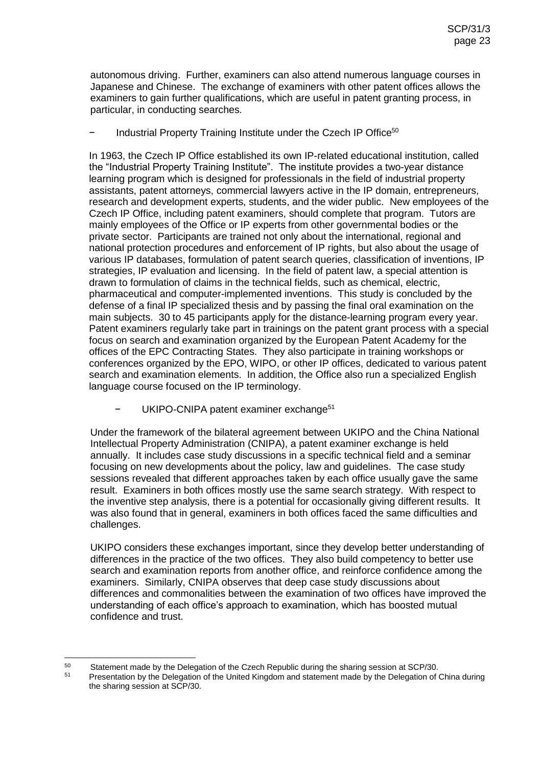autonomous driving. Further, examiners can also attend numerous language courses in Japanese and Chinese. The exchange of examiners with other patent offices allows the examiners to gain further qualifications, which are useful in patent granting process, in particular, in conducting searches.

# − Industrial Property Training Institute under the Czech IP Office<sup>50</sup>

In 1963, the Czech IP Office established its own IP-related educational institution, called the "Industrial Property Training Institute". The institute provides a two-year distance learning program which is designed for professionals in the field of industrial property assistants, patent attorneys, commercial lawyers active in the IP domain, entrepreneurs, research and development experts, students, and the wider public. New employees of the Czech IP Office, including patent examiners, should complete that program. Tutors are mainly employees of the Office or IP experts from other governmental bodies or the private sector. Participants are trained not only about the international, regional and national protection procedures and enforcement of IP rights, but also about the usage of various IP databases, formulation of patent search queries, classification of inventions, IP strategies, IP evaluation and licensing. In the field of patent law, a special attention is drawn to formulation of claims in the technical fields, such as chemical, electric, pharmaceutical and computer-implemented inventions. This study is concluded by the defense of a final IP specialized thesis and by passing the final oral examination on the main subjects. 30 to 45 participants apply for the distance-learning program every year. Patent examiners regularly take part in trainings on the patent grant process with a special focus on search and examination organized by the European Patent Academy for the offices of the EPC Contracting States. They also participate in training workshops or conferences organized by the EPO, WIPO, or other IP offices, dedicated to various patent search and examination elements. In addition, the Office also run a specialized English language course focused on the IP terminology.

UKIPO-CNIPA patent examiner exchange<sup>51</sup>

Under the framework of the bilateral agreement between UKIPO and the China National Intellectual Property Administration (CNIPA), a patent examiner exchange is held annually. It includes case study discussions in a specific technical field and a seminar focusing on new developments about the policy, law and guidelines. The case study sessions revealed that different approaches taken by each office usually gave the same result. Examiners in both offices mostly use the same search strategy. With respect to the inventive step analysis, there is a potential for occasionally giving different results. It was also found that in general, examiners in both offices faced the same difficulties and challenges.

UKIPO considers these exchanges important, since they develop better understanding of differences in the practice of the two offices. They also build competency to better use search and examination reports from another office, and reinforce confidence among the examiners. Similarly, CNIPA observes that deep case study discussions about differences and commonalities between the examination of two offices have improved the understanding of each office's approach to examination, which has boosted mutual confidence and trust.

 $50$ <sup>50</sup> Statement made by the Delegation of the Czech Republic during the sharing session at SCP/30.<br><sup>51</sup> Execontation by the Delegation of the United Kingdom and statement made by the Delegation of the

Presentation by the Delegation of the United Kingdom and statement made by the Delegation of China during the sharing session at SCP/30.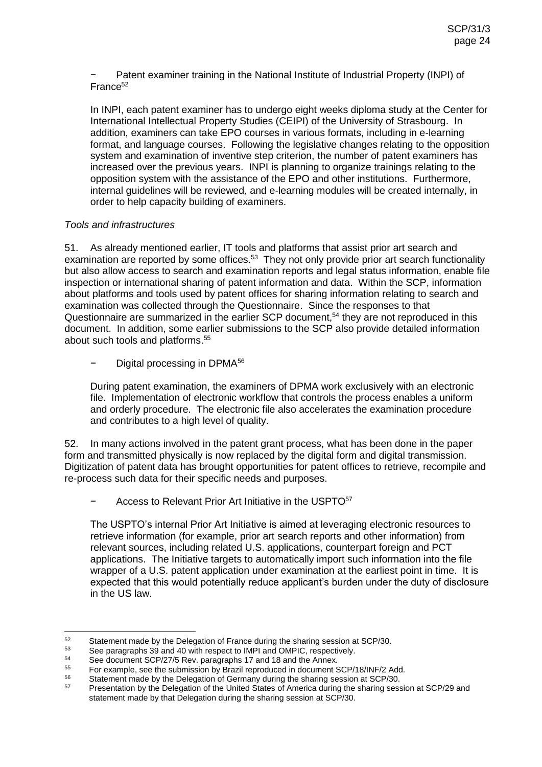Patent examiner training in the National Institute of Industrial Property (INPI) of France<sup>52</sup>

In INPI, each patent examiner has to undergo eight weeks diploma study at the Center for International Intellectual Property Studies (CEIPI) of the University of Strasbourg. In addition, examiners can take EPO courses in various formats, including in e-learning format, and language courses. Following the legislative changes relating to the opposition system and examination of inventive step criterion, the number of patent examiners has increased over the previous years. INPI is planning to organize trainings relating to the opposition system with the assistance of the EPO and other institutions. Furthermore, internal guidelines will be reviewed, and e-learning modules will be created internally, in order to help capacity building of examiners.

# *Tools and infrastructures*

51. As already mentioned earlier, IT tools and platforms that assist prior art search and examination are reported by some offices.<sup>53</sup> They not only provide prior art search functionality but also allow access to search and examination reports and legal status information, enable file inspection or international sharing of patent information and data. Within the SCP, information about platforms and tools used by patent offices for sharing information relating to search and examination was collected through the Questionnaire. Since the responses to that Questionnaire are summarized in the earlier SCP document,<sup>54</sup> they are not reproduced in this document. In addition, some earlier submissions to the SCP also provide detailed information about such tools and platforms.<sup>55</sup>

Digital processing in DPMA<sup>56</sup>

During patent examination, the examiners of DPMA work exclusively with an electronic file. Implementation of electronic workflow that controls the process enables a uniform and orderly procedure. The electronic file also accelerates the examination procedure and contributes to a high level of quality.

52. In many actions involved in the patent grant process, what has been done in the paper form and transmitted physically is now replaced by the digital form and digital transmission. Digitization of patent data has brought opportunities for patent offices to retrieve, recompile and re-process such data for their specific needs and purposes.

− Access to Relevant Prior Art Initiative in the USPTO<sup>57</sup>

The USPTO's internal Prior Art Initiative is aimed at leveraging electronic resources to retrieve information (for example, prior art search reports and other information) from relevant sources, including related U.S. applications, counterpart foreign and PCT applications. The Initiative targets to automatically import such information into the file wrapper of a U.S. patent application under examination at the earliest point in time. It is expected that this would potentially reduce applicant's burden under the duty of disclosure in the US law.

<sup>52</sup> 52 Statement made by the Delegation of France during the sharing session at SCP/30.<br> $53$  See paragraphs 29 and 40 with respect to IMPL and OMPIC, respectively.

<sup>53</sup> See paragraphs 39 and 40 with respect to IMPI and OMPIC, respectively.<br>54 See degument SCR/37/5 Bay, paragraphs 47 and 48 and the Annay.

 $^{54}$  See document SCP/27/5 Rev. paragraphs 17 and 18 and the Annex.<br> $^{55}$  Est example, see the submission by Prazil reproduced in document 6

<sup>&</sup>lt;sup>55</sup> For example, see the submission by Brazil reproduced in document SCP/18/INF/2 Add.<br><sup>56</sup> Statement mode by the Delegation of Cermany during the ebering seesien at SCP/20

<sup>&</sup>lt;sup>56</sup> Statement made by the Delegation of Germany during the sharing session at SCP/30.

<sup>57</sup> Presentation by the Delegation of the United States of America during the sharing session at SCP/29 and statement made by that Delegation during the sharing session at SCP/30.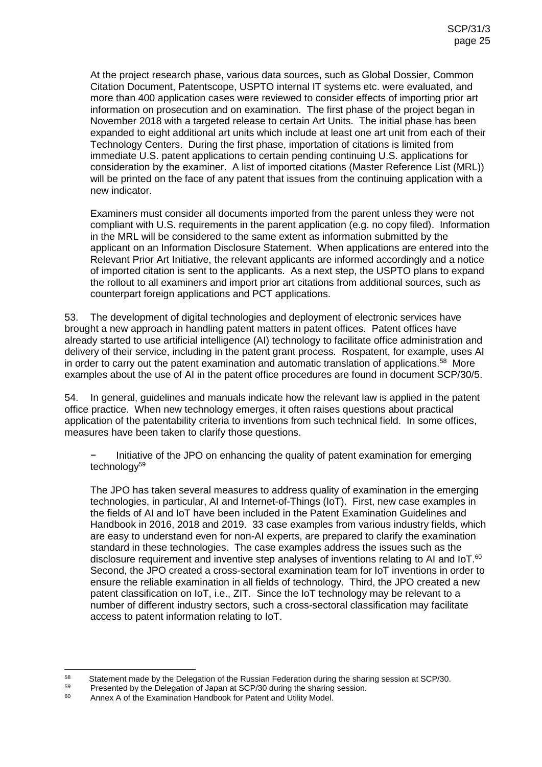At the project research phase, various data sources, such as Global Dossier, Common Citation Document, Patentscope, USPTO internal IT systems etc. were evaluated, and more than 400 application cases were reviewed to consider effects of importing prior art information on prosecution and on examination. The first phase of the project began in November 2018 with a targeted release to certain Art Units. The initial phase has been expanded to eight additional art units which include at least one art unit from each of their Technology Centers. During the first phase, importation of citations is limited from immediate U.S. patent applications to certain pending continuing U.S. applications for consideration by the examiner. A list of imported citations (Master Reference List (MRL)) will be printed on the face of any patent that issues from the continuing application with a new indicator.

Examiners must consider all documents imported from the parent unless they were not compliant with U.S. requirements in the parent application (e.g. no copy filed). Information in the MRL will be considered to the same extent as information submitted by the applicant on an Information Disclosure Statement. When applications are entered into the Relevant Prior Art Initiative, the relevant applicants are informed accordingly and a notice of imported citation is sent to the applicants. As a next step, the USPTO plans to expand the rollout to all examiners and import prior art citations from additional sources, such as counterpart foreign applications and PCT applications.

53. The development of digital technologies and deployment of electronic services have brought a new approach in handling patent matters in patent offices. Patent offices have already started to use artificial intelligence (AI) technology to facilitate office administration and delivery of their service, including in the patent grant process. Rospatent, for example, uses AI in order to carry out the patent examination and automatic translation of applications.<sup>58</sup> More examples about the use of AI in the patent office procedures are found in document SCP/30/5.

54. In general, guidelines and manuals indicate how the relevant law is applied in the patent office practice. When new technology emerges, it often raises questions about practical application of the patentability criteria to inventions from such technical field. In some offices, measures have been taken to clarify those questions.

− Initiative of the JPO on enhancing the quality of patent examination for emerging technology<sup>59</sup>

The JPO has taken several measures to address quality of examination in the emerging technologies, in particular, AI and Internet-of-Things (IoT). First, new case examples in the fields of AI and IoT have been included in the Patent Examination Guidelines and Handbook in 2016, 2018 and 2019. 33 case examples from various industry fields, which are easy to understand even for non-AI experts, are prepared to clarify the examination standard in these technologies. The case examples address the issues such as the disclosure requirement and inventive step analyses of inventions relating to AI and IoT. $60$ Second, the JPO created a cross-sectoral examination team for IoT inventions in order to ensure the reliable examination in all fields of technology. Third, the JPO created a new patent classification on IoT, i.e., ZIT. Since the IoT technology may be relevant to a number of different industry sectors, such a cross-sectoral classification may facilitate access to patent information relating to IoT.

<sup>58</sup> 58 Statement made by the Delegation of the Russian Federation during the sharing session at SCP/30.

 $^{59}$  Presented by the Delegation of Japan at SCP/30 during the sharing session.

Annex A of the Examination Handbook for Patent and Utility Model.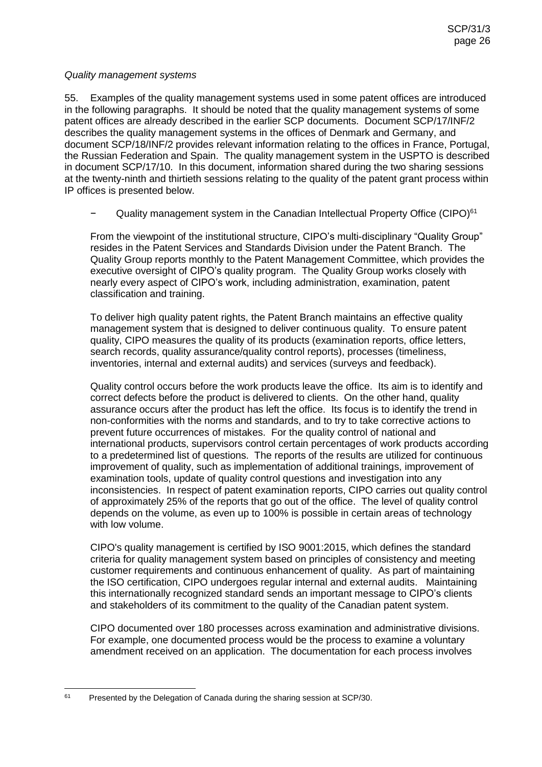#### *Quality management systems*

55. Examples of the quality management systems used in some patent offices are introduced in the following paragraphs. It should be noted that the quality management systems of some patent offices are already described in the earlier SCP documents. Document SCP/17/INF/2 describes the quality management systems in the offices of Denmark and Germany, and document SCP/18/INF/2 provides relevant information relating to the offices in France, Portugal, the Russian Federation and Spain. The quality management system in the USPTO is described in document SCP/17/10. In this document, information shared during the two sharing sessions at the twenty-ninth and thirtieth sessions relating to the quality of the patent grant process within IP offices is presented below.

Quality management system in the Canadian Intellectual Property Office (CIPO)<sup>61</sup>

From the viewpoint of the institutional structure, CIPO's multi-disciplinary "Quality Group" resides in the Patent Services and Standards Division under the Patent Branch. The Quality Group reports monthly to the Patent Management Committee, which provides the executive oversight of CIPO's quality program. The Quality Group works closely with nearly every aspect of CIPO's work, including administration, examination, patent classification and training.

To deliver high quality patent rights, the Patent Branch maintains an effective quality management system that is designed to deliver continuous quality. To ensure patent quality, CIPO measures the quality of its products (examination reports, office letters, search records, quality assurance/quality control reports), processes (timeliness, inventories, internal and external audits) and services (surveys and feedback).

Quality control occurs before the work products leave the office. Its aim is to identify and correct defects before the product is delivered to clients. On the other hand, quality assurance occurs after the product has left the office. Its focus is to identify the trend in non-conformities with the norms and standards, and to try to take corrective actions to prevent future occurrences of mistakes. For the quality control of national and international products, supervisors control certain percentages of work products according to a predetermined list of questions. The reports of the results are utilized for continuous improvement of quality, such as implementation of additional trainings, improvement of examination tools, update of quality control questions and investigation into any inconsistencies. In respect of patent examination reports, CIPO carries out quality control of approximately 25% of the reports that go out of the office. The level of quality control depends on the volume, as even up to 100% is possible in certain areas of technology with low volume.

CIPO's quality management is certified by ISO 9001:2015, which defines the standard criteria for quality management system based on principles of consistency and meeting customer requirements and continuous enhancement of quality. As part of maintaining the ISO certification, CIPO undergoes regular internal and external audits. Maintaining this internationally recognized standard sends an important message to CIPO's clients and stakeholders of its commitment to the quality of the Canadian patent system.

CIPO documented over 180 processes across examination and administrative divisions. For example, one documented process would be the process to examine a voluntary amendment received on an application. The documentation for each process involves

<sup>61</sup> Presented by the Delegation of Canada during the sharing session at SCP/30.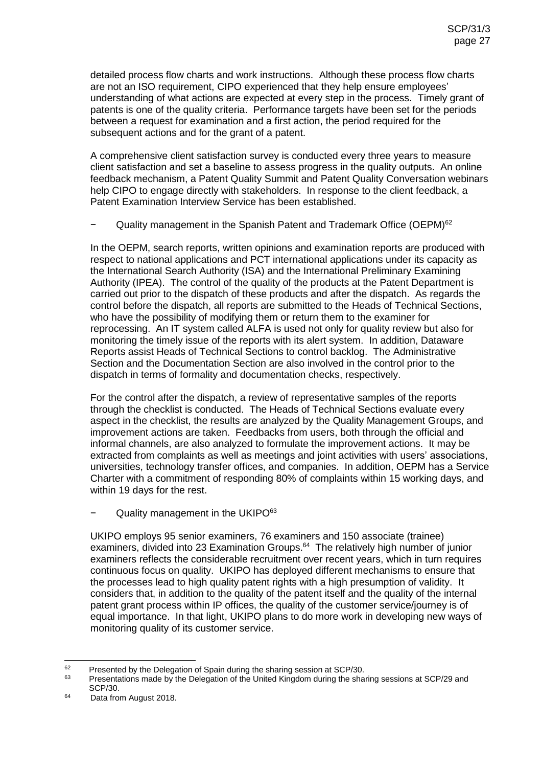detailed process flow charts and work instructions. Although these process flow charts are not an ISO requirement, CIPO experienced that they help ensure employees' understanding of what actions are expected at every step in the process. Timely grant of patents is one of the quality criteria. Performance targets have been set for the periods between a request for examination and a first action, the period required for the subsequent actions and for the grant of a patent.

A comprehensive client satisfaction survey is conducted every three years to measure client satisfaction and set a baseline to assess progress in the quality outputs. An online feedback mechanism, a Patent Quality Summit and Patent Quality Conversation webinars help CIPO to engage directly with stakeholders. In response to the client feedback, a Patent Examination Interview Service has been established.

Quality management in the Spanish Patent and Trademark Office (OEPM)<sup>62</sup>

In the OEPM, search reports, written opinions and examination reports are produced with respect to national applications and PCT international applications under its capacity as the International Search Authority (ISA) and the International Preliminary Examining Authority (IPEA). The control of the quality of the products at the Patent Department is carried out prior to the dispatch of these products and after the dispatch. As regards the control before the dispatch, all reports are submitted to the Heads of Technical Sections, who have the possibility of modifying them or return them to the examiner for reprocessing. An IT system called ALFA is used not only for quality review but also for monitoring the timely issue of the reports with its alert system. In addition, Dataware Reports assist Heads of Technical Sections to control backlog. The Administrative Section and the Documentation Section are also involved in the control prior to the dispatch in terms of formality and documentation checks, respectively.

For the control after the dispatch, a review of representative samples of the reports through the checklist is conducted. The Heads of Technical Sections evaluate every aspect in the checklist, the results are analyzed by the Quality Management Groups, and improvement actions are taken. Feedbacks from users, both through the official and informal channels, are also analyzed to formulate the improvement actions. It may be extracted from complaints as well as meetings and joint activities with users' associations, universities, technology transfer offices, and companies. In addition, OEPM has a Service Charter with a commitment of responding 80% of complaints within 15 working days, and within 19 days for the rest.

Quality management in the UKIPO<sup>63</sup>

UKIPO employs 95 senior examiners, 76 examiners and 150 associate (trainee) examiners, divided into 23 Examination Groups.<sup>64</sup> The relatively high number of junior examiners reflects the considerable recruitment over recent years, which in turn requires continuous focus on quality. UKIPO has deployed different mechanisms to ensure that the processes lead to high quality patent rights with a high presumption of validity. It considers that, in addition to the quality of the patent itself and the quality of the internal patent grant process within IP offices, the quality of the customer service/journey is of equal importance. In that light, UKIPO plans to do more work in developing new ways of monitoring quality of its customer service.

 <sup>62</sup> Presented by the Delegation of Spain during the sharing session at SCP/30.<br><sup>63</sup> Presentations mode by the Delegation of the United Kingdom during the sha

<sup>63</sup> Presentations made by the Delegation of the United Kingdom during the sharing sessions at SCP/29 and SCP/30.

<sup>64</sup> Data from August 2018.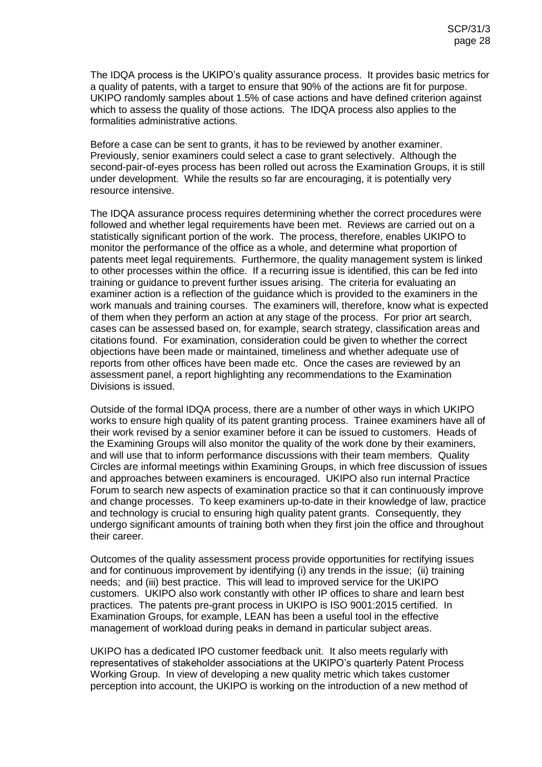The IDQA process is the UKIPO's quality assurance process. It provides basic metrics for a quality of patents, with a target to ensure that 90% of the actions are fit for purpose. UKIPO randomly samples about 1.5% of case actions and have defined criterion against which to assess the quality of those actions. The IDQA process also applies to the formalities administrative actions.

Before a case can be sent to grants, it has to be reviewed by another examiner. Previously, senior examiners could select a case to grant selectively. Although the second-pair-of-eyes process has been rolled out across the Examination Groups, it is still under development. While the results so far are encouraging, it is potentially very resource intensive.

The IDQA assurance process requires determining whether the correct procedures were followed and whether legal requirements have been met. Reviews are carried out on a statistically significant portion of the work. The process, therefore, enables UKIPO to monitor the performance of the office as a whole, and determine what proportion of patents meet legal requirements. Furthermore, the quality management system is linked to other processes within the office. If a recurring issue is identified, this can be fed into training or guidance to prevent further issues arising. The criteria for evaluating an examiner action is a reflection of the guidance which is provided to the examiners in the work manuals and training courses. The examiners will, therefore, know what is expected of them when they perform an action at any stage of the process. For prior art search, cases can be assessed based on, for example, search strategy, classification areas and citations found. For examination, consideration could be given to whether the correct objections have been made or maintained, timeliness and whether adequate use of reports from other offices have been made etc. Once the cases are reviewed by an assessment panel, a report highlighting any recommendations to the Examination Divisions is issued.

Outside of the formal IDQA process, there are a number of other ways in which UKIPO works to ensure high quality of its patent granting process. Trainee examiners have all of their work revised by a senior examiner before it can be issued to customers. Heads of the Examining Groups will also monitor the quality of the work done by their examiners, and will use that to inform performance discussions with their team members. Quality Circles are informal meetings within Examining Groups, in which free discussion of issues and approaches between examiners is encouraged. UKIPO also run internal Practice Forum to search new aspects of examination practice so that it can continuously improve and change processes. To keep examiners up-to-date in their knowledge of law, practice and technology is crucial to ensuring high quality patent grants. Consequently, they undergo significant amounts of training both when they first join the office and throughout their career.

Outcomes of the quality assessment process provide opportunities for rectifying issues and for continuous improvement by identifying (i) any trends in the issue; (ii) training needs; and (iii) best practice. This will lead to improved service for the UKIPO customers. UKIPO also work constantly with other IP offices to share and learn best practices. The patents pre-grant process in UKIPO is ISO 9001:2015 certified. In Examination Groups, for example, LEAN has been a useful tool in the effective management of workload during peaks in demand in particular subject areas.

UKIPO has a dedicated IPO customer feedback unit. It also meets regularly with representatives of stakeholder associations at the UKIPO's quarterly Patent Process Working Group. In view of developing a new quality metric which takes customer perception into account, the UKIPO is working on the introduction of a new method of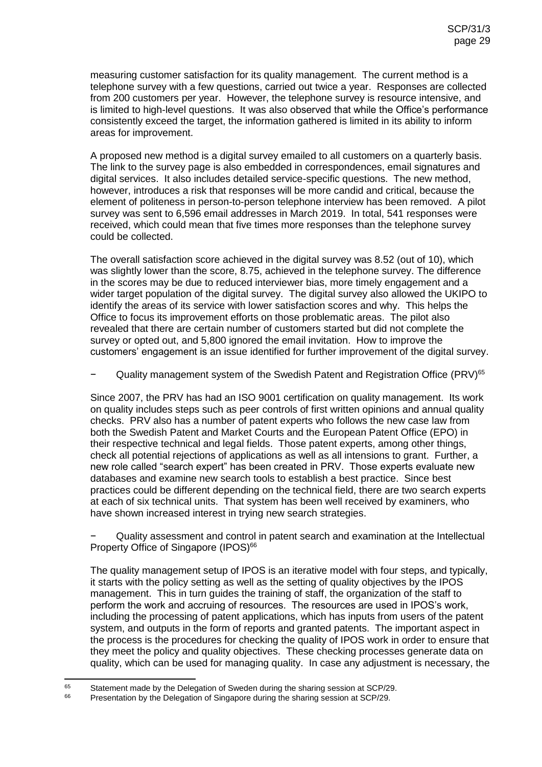measuring customer satisfaction for its quality management. The current method is a telephone survey with a few questions, carried out twice a year. Responses are collected from 200 customers per year. However, the telephone survey is resource intensive, and is limited to high-level questions. It was also observed that while the Office's performance consistently exceed the target, the information gathered is limited in its ability to inform areas for improvement.

A proposed new method is a digital survey emailed to all customers on a quarterly basis. The link to the survey page is also embedded in correspondences, email signatures and digital services. It also includes detailed service-specific questions. The new method, however, introduces a risk that responses will be more candid and critical, because the element of politeness in person-to-person telephone interview has been removed. A pilot survey was sent to 6,596 email addresses in March 2019. In total, 541 responses were received, which could mean that five times more responses than the telephone survey could be collected.

The overall satisfaction score achieved in the digital survey was 8.52 (out of 10), which was slightly lower than the score, 8.75, achieved in the telephone survey. The difference in the scores may be due to reduced interviewer bias, more timely engagement and a wider target population of the digital survey. The digital survey also allowed the UKIPO to identify the areas of its service with lower satisfaction scores and why. This helps the Office to focus its improvement efforts on those problematic areas. The pilot also revealed that there are certain number of customers started but did not complete the survey or opted out, and 5,800 ignored the email invitation. How to improve the customers' engagement is an issue identified for further improvement of the digital survey.

− Cuality management system of the Swedish Patent and Registration Office (PRV)<sup>65</sup>

Since 2007, the PRV has had an ISO 9001 certification on quality management. Its work on quality includes steps such as peer controls of first written opinions and annual quality checks. PRV also has a number of patent experts who follows the new case law from both the Swedish Patent and Market Courts and the European Patent Office (EPO) in their respective technical and legal fields. Those patent experts, among other things, check all potential rejections of applications as well as all intensions to grant. Further, a new role called "search expert" has been created in PRV. Those experts evaluate new databases and examine new search tools to establish a best practice. Since best practices could be different depending on the technical field, there are two search experts at each of six technical units. That system has been well received by examiners, who have shown increased interest in trying new search strategies.

Quality assessment and control in patent search and examination at the Intellectual Property Office of Singapore (IPOS)<sup>66</sup>

The quality management setup of IPOS is an iterative model with four steps, and typically, it starts with the policy setting as well as the setting of quality objectives by the IPOS management. This in turn guides the training of staff, the organization of the staff to perform the work and accruing of resources. The resources are used in IPOS's work, including the processing of patent applications, which has inputs from users of the patent system, and outputs in the form of reports and granted patents. The important aspect in the process is the procedures for checking the quality of IPOS work in order to ensure that they meet the policy and quality objectives. These checking processes generate data on quality, which can be used for managing quality. In case any adjustment is necessary, the

<sup>65</sup> <sup>65</sup> Statement made by the Delegation of Sweden during the sharing session at SCP/29.<br><sup>66</sup> Presentation by the Delegation of Singapers during the sharing session at SCP/29.

Presentation by the Delegation of Singapore during the sharing session at SCP/29.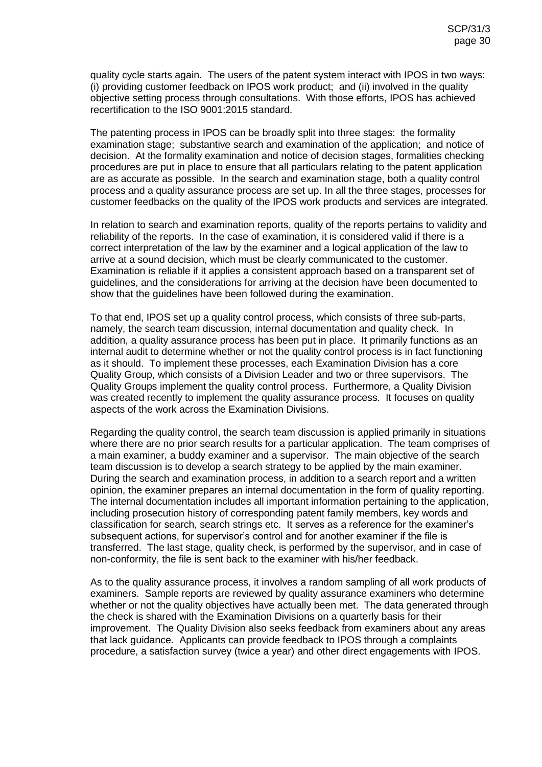quality cycle starts again. The users of the patent system interact with IPOS in two ways: (i) providing customer feedback on IPOS work product; and (ii) involved in the quality objective setting process through consultations. With those efforts, IPOS has achieved recertification to the ISO 9001:2015 standard.

The patenting process in IPOS can be broadly split into three stages: the formality examination stage; substantive search and examination of the application; and notice of decision. At the formality examination and notice of decision stages, formalities checking procedures are put in place to ensure that all particulars relating to the patent application are as accurate as possible. In the search and examination stage, both a quality control process and a quality assurance process are set up. In all the three stages, processes for customer feedbacks on the quality of the IPOS work products and services are integrated.

In relation to search and examination reports, quality of the reports pertains to validity and reliability of the reports. In the case of examination, it is considered valid if there is a correct interpretation of the law by the examiner and a logical application of the law to arrive at a sound decision, which must be clearly communicated to the customer. Examination is reliable if it applies a consistent approach based on a transparent set of guidelines, and the considerations for arriving at the decision have been documented to show that the guidelines have been followed during the examination.

To that end, IPOS set up a quality control process, which consists of three sub-parts, namely, the search team discussion, internal documentation and quality check. In addition, a quality assurance process has been put in place. It primarily functions as an internal audit to determine whether or not the quality control process is in fact functioning as it should. To implement these processes, each Examination Division has a core Quality Group, which consists of a Division Leader and two or three supervisors. The Quality Groups implement the quality control process. Furthermore, a Quality Division was created recently to implement the quality assurance process. It focuses on quality aspects of the work across the Examination Divisions.

Regarding the quality control, the search team discussion is applied primarily in situations where there are no prior search results for a particular application. The team comprises of a main examiner, a buddy examiner and a supervisor. The main objective of the search team discussion is to develop a search strategy to be applied by the main examiner. During the search and examination process, in addition to a search report and a written opinion, the examiner prepares an internal documentation in the form of quality reporting. The internal documentation includes all important information pertaining to the application, including prosecution history of corresponding patent family members, key words and classification for search, search strings etc. It serves as a reference for the examiner's subsequent actions, for supervisor's control and for another examiner if the file is transferred. The last stage, quality check, is performed by the supervisor, and in case of non-conformity, the file is sent back to the examiner with his/her feedback.

As to the quality assurance process, it involves a random sampling of all work products of examiners. Sample reports are reviewed by quality assurance examiners who determine whether or not the quality objectives have actually been met. The data generated through the check is shared with the Examination Divisions on a quarterly basis for their improvement. The Quality Division also seeks feedback from examiners about any areas that lack guidance. Applicants can provide feedback to IPOS through a complaints procedure, a satisfaction survey (twice a year) and other direct engagements with IPOS.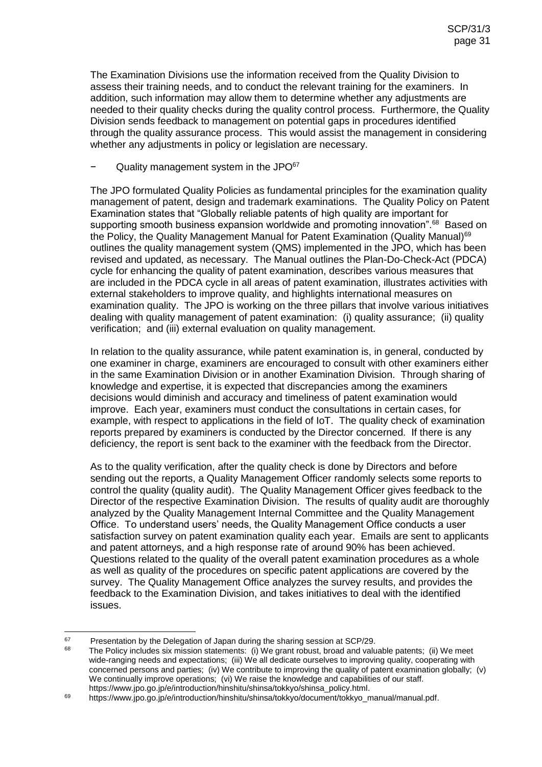The Examination Divisions use the information received from the Quality Division to assess their training needs, and to conduct the relevant training for the examiners. In addition, such information may allow them to determine whether any adjustments are needed to their quality checks during the quality control process. Furthermore, the Quality Division sends feedback to management on potential gaps in procedures identified through the quality assurance process. This would assist the management in considering whether any adjustments in policy or legislation are necessary.

## Quality management system in the JPO<sup>67</sup>

The JPO formulated Quality Policies as fundamental principles for the examination quality management of patent, design and trademark examinations. The Quality Policy on Patent Examination states that "Globally reliable patents of high quality are important for supporting smooth business expansion worldwide and promoting innovation".<sup>68</sup> Based on the Policy, the Quality Management Manual for Patent Examination (Quality Manual)<sup>69</sup> outlines the quality management system (QMS) implemented in the JPO, which has been revised and updated, as necessary. The Manual outlines the Plan-Do-Check-Act (PDCA) cycle for enhancing the quality of patent examination, describes various measures that are included in the PDCA cycle in all areas of patent examination, illustrates activities with external stakeholders to improve quality, and highlights international measures on examination quality. The JPO is working on the three pillars that involve various initiatives dealing with quality management of patent examination: (i) quality assurance; (ii) quality verification; and (iii) external evaluation on quality management.

In relation to the quality assurance, while patent examination is, in general, conducted by one examiner in charge, examiners are encouraged to consult with other examiners either in the same Examination Division or in another Examination Division. Through sharing of knowledge and expertise, it is expected that discrepancies among the examiners decisions would diminish and accuracy and timeliness of patent examination would improve. Each year, examiners must conduct the consultations in certain cases, for example, with respect to applications in the field of IoT. The quality check of examination reports prepared by examiners is conducted by the Director concerned. If there is any deficiency, the report is sent back to the examiner with the feedback from the Director.

As to the quality verification, after the quality check is done by Directors and before sending out the reports, a Quality Management Officer randomly selects some reports to control the quality (quality audit). The Quality Management Officer gives feedback to the Director of the respective Examination Division. The results of quality audit are thoroughly analyzed by the Quality Management Internal Committee and the Quality Management Office. To understand users' needs, the Quality Management Office conducts a user satisfaction survey on patent examination quality each year. Emails are sent to applicants and patent attorneys, and a high response rate of around 90% has been achieved. Questions related to the quality of the overall patent examination procedures as a whole as well as quality of the procedures on specific patent applications are covered by the survey. The Quality Management Office analyzes the survey results, and provides the feedback to the Examination Division, and takes initiatives to deal with the identified issues.

<sup>67</sup> <sup>67</sup> Presentation by the Delegation of Japan during the sharing session at SCP/29.

The Policy includes six mission statements: (i) We grant robust, broad and valuable patents; (ii) We meet wide-ranging needs and expectations; (iii) We all dedicate ourselves to improving quality, cooperating with concerned persons and parties; (iv) We contribute to improving the quality of patent examination globally; (v) We continually improve operations; (vi) We raise the knowledge and capabilities of our staff. https://www.jpo.go.jp/e/introduction/hinshitu/shinsa/tokkyo/shinsa\_policy.html.

<sup>69</sup> https://www.jpo.go.jp/e/introduction/hinshitu/shinsa/tokkyo/document/tokkyo\_manual/manual.pdf.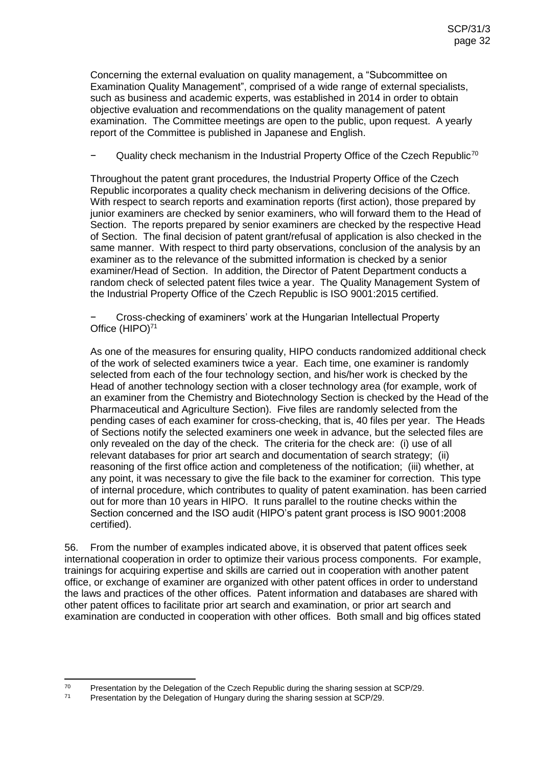Concerning the external evaluation on quality management, a "Subcommittee on Examination Quality Management", comprised of a wide range of external specialists, such as business and academic experts, was established in 2014 in order to obtain objective evaluation and recommendations on the quality management of patent examination. The Committee meetings are open to the public, upon request. A yearly report of the Committee is published in Japanese and English.

Quality check mechanism in the Industrial Property Office of the Czech Republic<sup>70</sup>

Throughout the patent grant procedures, the Industrial Property Office of the Czech Republic incorporates a quality check mechanism in delivering decisions of the Office. With respect to search reports and examination reports (first action), those prepared by junior examiners are checked by senior examiners, who will forward them to the Head of Section. The reports prepared by senior examiners are checked by the respective Head of Section. The final decision of patent grant/refusal of application is also checked in the same manner. With respect to third party observations, conclusion of the analysis by an examiner as to the relevance of the submitted information is checked by a senior examiner/Head of Section. In addition, the Director of Patent Department conducts a random check of selected patent files twice a year. The Quality Management System of the Industrial Property Office of the Czech Republic is ISO 9001:2015 certified.

− Cross-checking of examiners' work at the Hungarian Intellectual Property Office (HIPO)<sup>71</sup>

As one of the measures for ensuring quality, HIPO conducts randomized additional check of the work of selected examiners twice a year. Each time, one examiner is randomly selected from each of the four technology section, and his/her work is checked by the Head of another technology section with a closer technology area (for example, work of an examiner from the Chemistry and Biotechnology Section is checked by the Head of the Pharmaceutical and Agriculture Section). Five files are randomly selected from the pending cases of each examiner for cross-checking, that is, 40 files per year. The Heads of Sections notify the selected examiners one week in advance, but the selected files are only revealed on the day of the check. The criteria for the check are: (i) use of all relevant databases for prior art search and documentation of search strategy; (ii) reasoning of the first office action and completeness of the notification; (iii) whether, at any point, it was necessary to give the file back to the examiner for correction. This type of internal procedure, which contributes to quality of patent examination. has been carried out for more than 10 years in HIPO. It runs parallel to the routine checks within the Section concerned and the ISO audit (HIPO's patent grant process is ISO 9001:2008 certified).

56. From the number of examples indicated above, it is observed that patent offices seek international cooperation in order to optimize their various process components. For example, trainings for acquiring expertise and skills are carried out in cooperation with another patent office, or exchange of examiner are organized with other patent offices in order to understand the laws and practices of the other offices. Patent information and databases are shared with other patent offices to facilitate prior art search and examination, or prior art search and examination are conducted in cooperation with other offices. Both small and big offices stated

<sup>70</sup>  $70$  Presentation by the Delegation of the Czech Republic during the sharing session at SCP/29.

Presentation by the Delegation of Hungary during the sharing session at SCP/29.